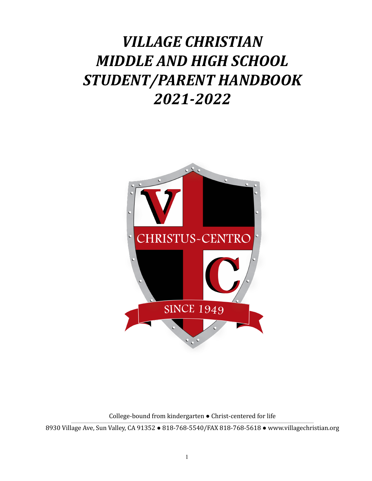# *VILLAGE CHRISTIAN MIDDLE AND HIGH SCHOOL STUDENT/PARENT HANDBOOK 2021-2022*



College-bound from kindergarten ● Christ-centered for life

8930 Village Ave, Sun Valley, CA 91352 • 818-768-5540/FAX 818-768-5618 • www.villagechristian.org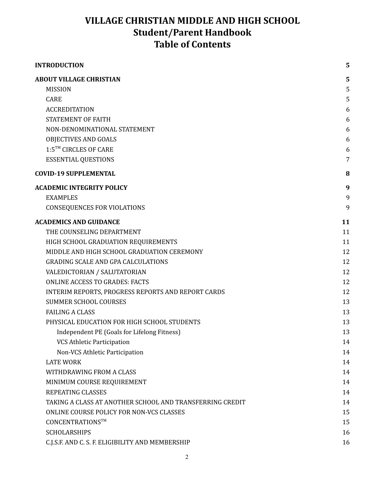# **VILLAGE CHRISTIAN MIDDLE AND HIGH SCHOOL Student/Parent Handbook Table of Contents**

| <b>INTRODUCTION</b>                                      | 5              |
|----------------------------------------------------------|----------------|
| <b>ABOUT VILLAGE CHRISTIAN</b>                           | 5              |
| <b>MISSION</b>                                           | 5              |
| <b>CARE</b>                                              | 5              |
| <b>ACCREDITATION</b>                                     | 6              |
| <b>STATEMENT OF FAITH</b>                                | 6              |
| NON-DENOMINATIONAL STATEMENT                             | 6              |
| OBJECTIVES AND GOALS                                     | 6              |
| 1:5™ CIRCLES OF CARE                                     | 6              |
| <b>ESSENTIAL QUESTIONS</b>                               | $\overline{7}$ |
| <b>COVID-19 SUPPLEMENTAL</b>                             | 8              |
| <b>ACADEMIC INTEGRITY POLICY</b>                         | 9              |
| <b>EXAMPLES</b>                                          | 9              |
| <b>CONSEQUENCES FOR VIOLATIONS</b>                       | 9              |
| <b>ACADEMICS AND GUIDANCE</b>                            | 11             |
| THE COUNSELING DEPARTMENT                                | 11             |
| HIGH SCHOOL GRADUATION REQUIREMENTS                      | 11             |
| MIDDLE AND HIGH SCHOOL GRADUATION CEREMONY               | 12             |
| <b>GRADING SCALE AND GPA CALCULATIONS</b>                | 12             |
| VALEDICTORIAN / SALUTATORIAN                             | 12             |
| <b>ONLINE ACCESS TO GRADES: FACTS</b>                    | 12             |
| INTERIM REPORTS, PROGRESS REPORTS AND REPORT CARDS       | 12             |
| <b>SUMMER SCHOOL COURSES</b>                             | 13             |
| <b>FAILING A CLASS</b>                                   | 13             |
| PHYSICAL EDUCATION FOR HIGH SCHOOL STUDENTS              | 13             |
| Independent PE (Goals for Lifelong Fitness)              | 13             |
| <b>VCS Athletic Participation</b>                        | 14             |
| Non-VCS Athletic Participation                           | 14             |
| <b>LATE WORK</b>                                         | 14             |
| WITHDRAWING FROM A CLASS                                 | 14             |
| MINIMUM COURSE REQUIREMENT                               | 14             |
| <b>REPEATING CLASSES</b>                                 | 14             |
| TAKING A CLASS AT ANOTHER SCHOOL AND TRANSFERRING CREDIT | 14             |
| ONLINE COURSE POLICY FOR NON-VCS CLASSES                 | 15             |
| CONCENTRATIONS™                                          | 15             |
| <b>SCHOLARSHIPS</b>                                      | 16             |
| C.J.S.F. AND C. S. F. ELIGIBILITY AND MEMBERSHIP         | 16             |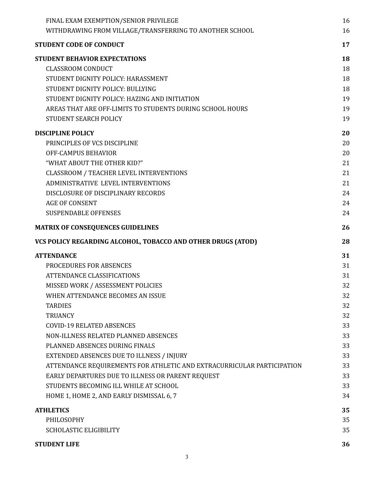| FINAL EXAM EXEMPTION/SENIOR PRIVILEGE                                  | 16 |
|------------------------------------------------------------------------|----|
| WITHDRAWING FROM VILLAGE/TRANSFERRING TO ANOTHER SCHOOL                | 16 |
| <b>STUDENT CODE OF CONDUCT</b>                                         | 17 |
| STUDENT BEHAVIOR EXPECTATIONS                                          | 18 |
| <b>CLASSROOM CONDUCT</b>                                               | 18 |
| STUDENT DIGNITY POLICY: HARASSMENT                                     | 18 |
| STUDENT DIGNITY POLICY: BULLYING                                       | 18 |
| STUDENT DIGNITY POLICY: HAZING AND INITIATION                          | 19 |
| AREAS THAT ARE OFF-LIMITS TO STUDENTS DURING SCHOOL HOURS              | 19 |
| STUDENT SEARCH POLICY                                                  | 19 |
| <b>DISCIPLINE POLICY</b>                                               | 20 |
| PRINCIPLES OF VCS DISCIPLINE                                           | 20 |
| OFF-CAMPUS BEHAVIOR                                                    | 20 |
| "WHAT ABOUT THE OTHER KID?"                                            | 21 |
| <b>CLASSROOM / TEACHER LEVEL INTERVENTIONS</b>                         | 21 |
| <b>ADMINISTRATIVE LEVEL INTERVENTIONS</b>                              | 21 |
| DISCLOSURE OF DISCIPLINARY RECORDS                                     | 24 |
| <b>AGE OF CONSENT</b>                                                  | 24 |
| <b>SUSPENDABLE OFFENSES</b>                                            | 24 |
| <b>MATRIX OF CONSEQUENCES GUIDELINES</b>                               | 26 |
| VCS POLICY REGARDING ALCOHOL, TOBACCO AND OTHER DRUGS (ATOD)           | 28 |
| <b>ATTENDANCE</b>                                                      | 31 |
| <b>PROCEDURES FOR ABSENCES</b>                                         | 31 |
| ATTENDANCE CLASSIFICATIONS                                             | 31 |
| MISSED WORK / ASSESSMENT POLICIES                                      | 32 |
| WHEN ATTENDANCE BECOMES AN ISSUE                                       | 32 |
| <b>TARDIES</b>                                                         | 32 |
| <b>TRUANCY</b>                                                         | 32 |
| <b>COVID-19 RELATED ABSENCES</b>                                       | 33 |
| NON-ILLNESS RELATED PLANNED ABSENCES                                   | 33 |
| PLANNED ABSENCES DURING FINALS                                         | 33 |
| EXTENDED ABSENCES DUE TO ILLNESS / INJURY                              | 33 |
| ATTENDANCE REQUIREMENTS FOR ATHLETIC AND EXTRACURRICULAR PARTICIPATION | 33 |
| EARLY DEPARTURES DUE TO ILLNESS OR PARENT REQUEST                      | 33 |
| STUDENTS BECOMING ILL WHILE AT SCHOOL                                  | 33 |
| HOME 1, HOME 2, AND EARLY DISMISSAL 6, 7                               | 34 |
| <b>ATHLETICS</b>                                                       | 35 |
| PHILOSOPHY                                                             | 35 |
|                                                                        |    |
| <b>SCHOLASTIC ELIGIBILITY</b>                                          | 35 |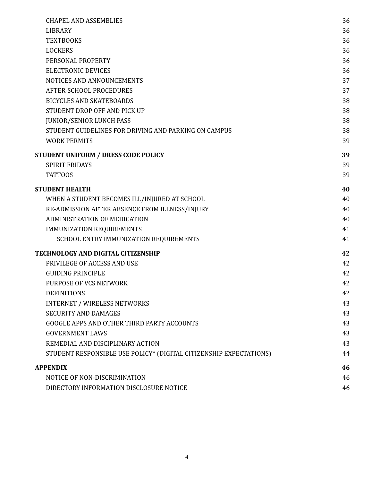| <b>CHAPEL AND ASSEMBLIES</b>                                       | 36 |
|--------------------------------------------------------------------|----|
| <b>LIBRARY</b>                                                     | 36 |
| <b>TEXTBOOKS</b>                                                   | 36 |
| <b>LOCKERS</b>                                                     | 36 |
| PERSONAL PROPERTY                                                  | 36 |
| <b>ELECTRONIC DEVICES</b>                                          | 36 |
| NOTICES AND ANNOUNCEMENTS                                          | 37 |
| AFTER-SCHOOL PROCEDURES                                            | 37 |
| <b>BICYCLES AND SKATEBOARDS</b>                                    | 38 |
| STUDENT DROP OFF AND PICK UP                                       | 38 |
| <b>JUNIOR/SENIOR LUNCH PASS</b>                                    | 38 |
| STUDENT GUIDELINES FOR DRIVING AND PARKING ON CAMPUS               | 38 |
| <b>WORK PERMITS</b>                                                | 39 |
| <b>STUDENT UNIFORM / DRESS CODE POLICY</b>                         | 39 |
| <b>SPIRIT FRIDAYS</b>                                              | 39 |
| <b>TATTOOS</b>                                                     | 39 |
| <b>STUDENT HEALTH</b>                                              | 40 |
| WHEN A STUDENT BECOMES ILL/INJURED AT SCHOOL                       | 40 |
| RE-ADMISSION AFTER ABSENCE FROM ILLNESS/INJURY                     | 40 |
| ADMINISTRATION OF MEDICATION                                       | 40 |
| IMMUNIZATION REQUIREMENTS                                          | 41 |
| SCHOOL ENTRY IMMUNIZATION REQUIREMENTS                             | 41 |
| TECHNOLOGY AND DIGITAL CITIZENSHIP                                 | 42 |
| PRIVILEGE OF ACCESS AND USE                                        | 42 |
| <b>GUIDING PRINCIPLE</b>                                           | 42 |
| PURPOSE OF VCS NETWORK                                             | 42 |
| <b>DEFINITIONS</b>                                                 | 42 |
| <b>INTERNET / WIRELESS NETWORKS</b>                                | 43 |
| <b>SECURITY AND DAMAGES</b>                                        | 43 |
| <b>GOOGLE APPS AND OTHER THIRD PARTY ACCOUNTS</b>                  | 43 |
| <b>GOVERNMENT LAWS</b>                                             | 43 |
| REMEDIAL AND DISCIPLINARY ACTION                                   | 43 |
| STUDENT RESPONSIBLE USE POLICY* (DIGITAL CITIZENSHIP EXPECTATIONS) | 44 |
| <b>APPENDIX</b>                                                    | 46 |
| NOTICE OF NON-DISCRIMINATION                                       | 46 |
| DIRECTORY INFORMATION DISCLOSURE NOTICE                            | 46 |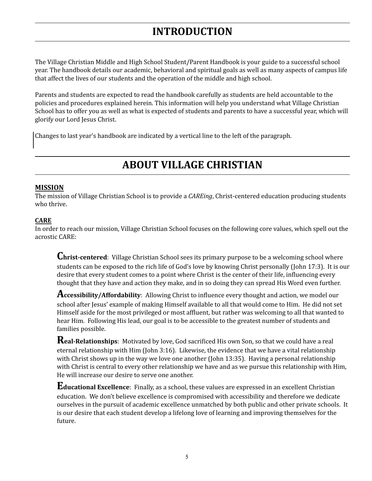# **INTRODUCTION**

<span id="page-4-0"></span>The Village Christian Middle and High School Student/Parent Handbook is your guide to a successful school year. The handbook details our academic, behavioral and spiritual goals as well as many aspects of campus life that affect the lives of our students and the operation of the middle and high school.

Parents and students are expected to read the handbook carefully as students are held accountable to the policies and procedures explained herein. This information will help you understand what Village Christian School has to offer you as well as what is expected of students and parents to have a successful year, which will glorify our Lord Jesus Christ.

<span id="page-4-1"></span>Changes to last year's handbook are indicated by a vertical line to the left of the paragraph.

# **ABOUT VILLAGE CHRISTIAN**

### <span id="page-4-2"></span>**MISSION**

The mission of Village Christian School is to provide a *CAREing*, Christ-centered education producing students who thrive.

### <span id="page-4-3"></span>**CARE**

In order to reach our mission, Village Christian School focuses on the following core values, which spell out the acrostic CARE:

**Christ-centered**: Village Christian School sees its primary purpose to be <sup>a</sup> welcoming school where students can be exposed to the rich life of God's love by knowing Christ personally (John 17:3). It is our desire that every student comes to a point where Christ is the center of their life, influencing every thought that they have and action they make, and in so doing they can spread His Word even further.

**Accessibility/Affordability**: Allowing Christ to influence every thought and action, we model our school after Jesus' example of making Himself available to all that would come to Him. He did not set Himself aside for the most privileged or most affluent, but rather was welcoming to all that wanted to hear Him. Following His lead, our goal is to be accessible to the greatest number of students and families possible.

**Real-Relationships**: Motivated by love, God sacrificed His own Son, so that we could have <sup>a</sup> real eternal relationship with Him (John 3:16). Likewise, the evidence that we have a vital relationship with Christ shows up in the way we love one another (John 13:35). Having a personal relationship with Christ is central to every other relationship we have and as we pursue this relationship with Him, He will increase our desire to serve one another.

**Educational Excellence**: Finally, as <sup>a</sup> school, these values are expressed in an excellent Christian education. We don't believe excellence is compromised with accessibility and therefore we dedicate ourselves in the pursuit of academic excellence unmatched by both public and other private schools. It is our desire that each student develop a lifelong love of learning and improving themselves for the future.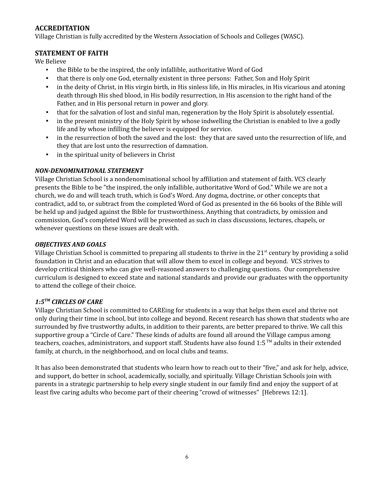### <span id="page-5-0"></span>**ACCREDITATION**

Village Christian is fully accredited by the Western Association of Schools and Colleges (WASC).

### <span id="page-5-1"></span>**STATEMENT OF FAITH**

We Believe

- the Bible to be the inspired, the only infallible, authoritative Word of God
- that there is only one God, eternally existent in three persons: Father, Son and Holy Spirit
- in the deity of Christ, in His virgin birth, in His sinless life, in His miracles, in His vicarious and atoning death through His shed blood, in His bodily resurrection, in His ascension to the right hand of the Father, and in His personal return in power and glory.
- that for the salvation of lost and sinful man, regeneration by the Holy Spirit is absolutely essential.
- in the present ministry of the Holy Spirit by whose indwelling the Christian is enabled to live a godly life and by whose infilling the believer is equipped for service.
- in the resurrection of both the saved and the lost: they that are saved unto the resurrection of life, and they that are lost unto the resurrection of damnation.
- in the spiritual unity of believers in Christ

### <span id="page-5-2"></span>*NON-DENOMINATIONAL STATEMENT*

Village Christian School is a nondenominational school by affiliation and statement of faith. VCS clearly presents the Bible to be "the inspired, the only infallible, authoritative Word of God." While we are not a church, we do and will teach truth, which is God's Word. Any dogma, doctrine, or other concepts that contradict, add to, or subtract from the completed Word of God as presented in the 66 books of the Bible will be held up and judged against the Bible for trustworthiness. Anything that contradicts, by omission and commission, God's completed Word will be presented as such in class discussions, lectures, chapels, or whenever questions on these issues are dealt with.

### <span id="page-5-3"></span>*OBJECTIVES AND GOALS*

Village Christian School is committed to preparing all students to thrive in the 21<sup>st</sup> century by providing a solid foundation in Christ and an education that will allow them to excel in college and beyond. VCS strives to develop critical thinkers who can give well-reasoned answers to challenging questions. Our comprehensive curriculum is designed to exceed state and national standards and provide our graduates with the opportunity to attend the college of their choice.

## <span id="page-5-4"></span>*1:5 TM CIRCLES OF CARE*

Village Christian School is committed to CAREing for students in a way that helps them excel and thrive not only during their time in school, but into college and beyond. Recent research has shown that students who are surrounded by five trustworthy adults, in addition to their parents, are better prepared to thrive. We call this supportive group a "Circle of Care." These kinds of adults are found all around the Village campus among teachers, coaches, administrators, and support staff. Students have also found 1:5™ adults in their extended family, at church, in the neighborhood, and on local clubs and teams.

It has also been demonstrated that students who learn how to reach out to their "five," and ask for help, advice, and support, do better in school, academically, socially, and spiritually. Village Christian Schools join with parents in a strategic partnership to help every single student in our family find and enjoy the support of at least five caring adults who become part of their cheering "crowd of witnesses" [Hebrews 12:1].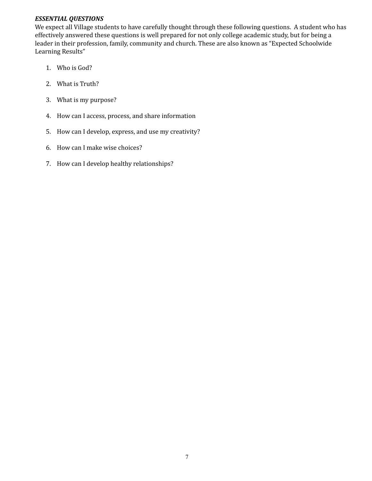### <span id="page-6-0"></span>*ESSENTIAL QUESTIONS*

We expect all Village students to have carefully thought through these following questions. A student who has effectively answered these questions is well prepared for not only college academic study, but for being a leader in their profession, family, community and church. These are also known as "Expected Schoolwide Learning Results"

- 1. Who is God?
- 2. What is Truth?
- 3. What is my purpose?
- 4. How can I access, process, and share information
- 5. How can I develop, express, and use my creativity?
- 6. How can I make wise choices?
- 7. How can I develop healthy relationships?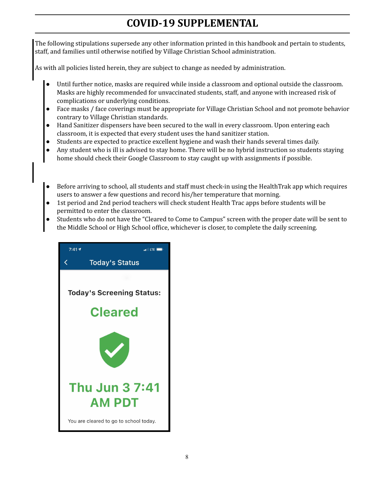# **COVID-19 SUPPLEMENTAL**

<span id="page-7-0"></span>The following stipulations supersede any other information printed in this handbook and pertain to students, staff, and families until otherwise notified by Village Christian School administration.

As with all policies listed herein, they are subject to change as needed by administration.

- Until further notice, masks are required while inside a classroom and optional outside the classroom. Masks are highly recommended for unvaccinated students, staff, and anyone with increased risk of complications or underlying conditions.
- Face masks / face coverings must be appropriate for Village Christian School and not promote behavior contrary to Village Christian standards.
- Hand Sanitizer dispensers have been secured to the wall in every classroom. Upon entering each classroom, it is expected that every student uses the hand sanitizer station.
- Students are expected to practice excellent hygiene and wash their hands several times daily.
- Any student who is ill is advised to stay home. There will be no hybrid instruction so students staying home should check their Google Classroom to stay caught up with assignments if possible.
- Before arriving to school, all students and staff must check-in using the HealthTrak app which requires users to answer a few questions and record his/her temperature that morning.
- 1st period and 2nd period teachers will check student Health Trac apps before students will be permitted to enter the classroom.
- Students who do not have the "Cleared to Come to Campus" screen with the proper date will be sent to the Middle School or High School office, whichever is closer, to complete the daily screening.

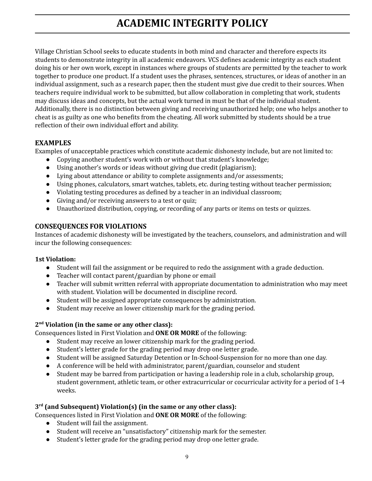# **ACADEMIC INTEGRITY POLICY**

<span id="page-8-0"></span>Village Christian School seeks to educate students in both mind and character and therefore expects its students to demonstrate integrity in all academic endeavors. VCS defines academic integrity as each student doing his or her own work, except in instances where groups of students are permitted by the teacher to work together to produce one product. If a student uses the phrases, sentences, structures, or ideas of another in an individual assignment, such as a research paper, then the student must give due credit to their sources. When teachers require individual work to be submitted, but allow collaboration in completing that work, students may discuss ideas and concepts, but the actual work turned in must be that of the individual student. Additionally, there is no distinction between giving and receiving unauthorized help; one who helps another to cheat is as guilty as one who benefits from the cheating. All work submitted by students should be a true reflection of their own individual effort and ability.

### <span id="page-8-1"></span>**EXAMPLES**

Examples of unacceptable practices which constitute academic dishonesty include, but are not limited to:

- Copying another student's work with or without that student's knowledge;
- Using another's words or ideas without giving due credit (plagiarism);
- Lying about attendance or ability to complete assignments and/or assessments;
- Using phones, calculators, smart watches, tablets, etc. during testing without teacher permission;
- Violating testing procedures as defined by a teacher in an individual classroom;
- Giving and/or receiving answers to a test or quiz;
- Unauthorized distribution, copying, or recording of any parts or items on tests or quizzes.

### <span id="page-8-2"></span>**CONSEQUENCES FOR VIOLATIONS**

Instances of academic dishonesty will be investigated by the teachers, counselors, and administration and will incur the following consequences:

### **1st Violation:**

- Student will fail the assignment or be required to redo the assignment with a grade deduction.
- Teacher will contact parent/guardian by phone or email
- Teacher will submit written referral with appropriate documentation to administration who may meet with student. Violation will be documented in discipline record.
- Student will be assigned appropriate consequences by administration.
- Student may receive an lower citizenship mark for the grading period.

### **2 nd Violation (in the same or any other class):**

Consequences listed in First Violation and **ONE OR MORE** of the following:

- Student may receive an lower citizenship mark for the grading period.
- Student's letter grade for the grading period may drop one letter grade.
- Student will be assigned Saturday Detention or In-School-Suspension for no more than one day.
- A conference will be held with administrator, parent/guardian, counselor and student
- Student may be barred from participation or having a leadership role in a club, scholarship group, student government, athletic team, or other extracurricular or cocurricular activity for a period of 1-4 weeks.

### **3 rd (and Subsequent) Violation(s) (in the same or any other class):**

Consequences listed in First Violation and **ONE OR MORE** of the following:

- Student will fail the assignment.
- Student will receive an "unsatisfactory" citizenship mark for the semester.
- Student's letter grade for the grading period may drop one letter grade.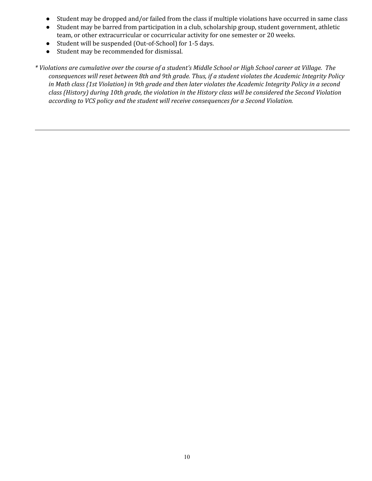- Student may be dropped and/or failed from the class if multiple violations have occurred in same class
- Student may be barred from participation in a club, scholarship group, student government, athletic team, or other extracurricular or cocurricular activity for one semester or 20 weeks.
- Student will be suspended (Out-of-School) for 1-5 days.
- Student may be recommended for dismissal.

\* Violations are cumulative over the course of a student's Middle School or High School career at Village. The consequences will reset between 8th and 9th grade. Thus, if a student violates the Academic Integrity Policy in Math class (1st Violation) in 9th grade and then later violates the Academic Integrity Policy in a second class (History) during 10th grade, the violation in the History class will be considered the Second Violation *according to VCS policy and the student will receive consequences for a Second Violation.*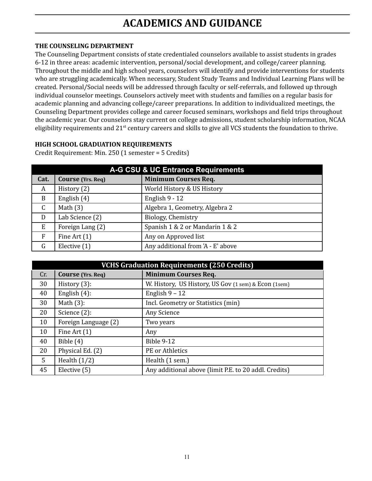# **ACADEMICS AND GUIDANCE**

### <span id="page-10-1"></span><span id="page-10-0"></span>**THE COUNSELING DEPARTMENT**

The Counseling Department consists of state credentialed counselors available to assist students in grades 6-12 in three areas: academic intervention, personal/social development, and college/career planning. Throughout the middle and high school years, counselors will identify and provide interventions for students who are struggling academically. When necessary, Student Study Teams and Individual Learning Plans will be created. Personal/Social needs will be addressed through faculty or self-referrals, and followed up through individual counselor meetings. Counselors actively meet with students and families on a regular basis for academic planning and advancing college/career preparations. In addition to individualized meetings, the Counseling Department provides college and career focused seminars, workshops and field trips throughout the academic year. Our counselors stay current on college admissions, student scholarship information, NCAA eligibility requirements and 21<sup>st</sup> century careers and skills to give all VCS students the foundation to thrive.

### <span id="page-10-2"></span>**HIGH SCHOOL GRADUATION REQUIREMENTS**

Credit Requirement: Min. 250 (1 semester = 5 Credits)

| <b>A-G CSU &amp; UC Entrance Requirements</b> |                          |                                   |  |
|-----------------------------------------------|--------------------------|-----------------------------------|--|
| Cat.                                          | <b>Course</b> (Yrs. Req) | <b>Minimum Courses Req.</b>       |  |
| A                                             | History (2)              | World History & US History        |  |
| B                                             | English (4)              | English $9 - 12$                  |  |
| $\mathsf{C}$                                  | Math $(3)$               | Algebra 1, Geometry, Algebra 2    |  |
| D                                             | Lab Science (2)          | Biology, Chemistry                |  |
| E                                             | Foreign Lang (2)         | Spanish 1 & 2 or Mandarin 1 & 2   |  |
| F                                             | Fine Art $(1)$           | Any on Approved list              |  |
| G                                             | Elective (1)             | Any additional from 'A - E' above |  |

| <b>VCHS Graduation Requirements (250 Credits)</b> |                          |                                                       |
|---------------------------------------------------|--------------------------|-------------------------------------------------------|
| Cr.                                               | <b>Course</b> (Yrs. Req) | <b>Minimum Courses Req.</b>                           |
| 30                                                | History $(3)$ :          | W. History, US History, US Gov (1 sem) & Econ (1 sem) |
| 40                                                | English $(4)$ :          | English $9 - 12$                                      |
| 30                                                | Math $(3)$ :             | Incl. Geometry or Statistics (min)                    |
| 20                                                | Science $(2)$ :          | Any Science                                           |
| 10                                                | Foreign Language (2)     | Two years                                             |
| 10                                                | Fine Art $(1)$           | Any                                                   |
| 40                                                | Bible $(4)$              | <b>Bible 9-12</b>                                     |
| 20                                                | Physical Ed. (2)         | PE or Athletics                                       |
| 5                                                 | Health $(1/2)$           | Health (1 sem.)                                       |
| 45                                                | Elective (5)             | Any additional above (limit P.E. to 20 addl. Credits) |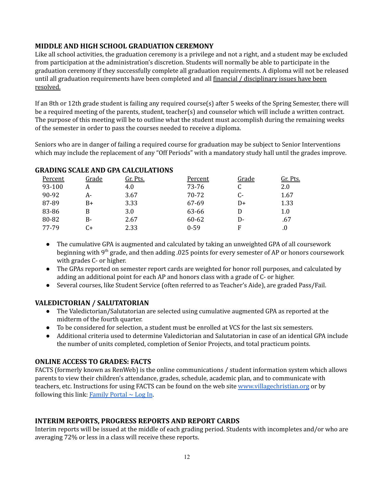### <span id="page-11-0"></span>**MIDDLE AND HIGH SCHOOL GRADUATION CEREMONY**

Like all school activities, the graduation ceremony is a privilege and not a right, and a student may be excluded from participation at the administration's discretion. Students will normally be able to participate in the graduation ceremony if they successfully complete all graduation requirements. A diploma will not be released until all graduation requirements have been completed and all financial / disciplinary issues have been resolved.

If an 8th or 12th grade student is failing any required course(s) after 5 weeks of the Spring Semester, there will be a required meeting of the parents, student, teacher(s) and counselor which will include a written contract. The purpose of this meeting will be to outline what the student must accomplish during the remaining weeks of the semester in order to pass the courses needed to receive a diploma.

Seniors who are in danger of failing a required course for graduation may be subject to Senior Interventions which may include the replacement of any "Off Periods" with a mandatory study hall until the grades improve.

| Percent | Grade | Gr. Pts. | Percent  | Grade | Gr. Pts.   |
|---------|-------|----------|----------|-------|------------|
| 93-100  |       | 4.0      | 73-76    |       | 2.0        |
| 90-92   | А-    | 3.67     | 70-72    | $C-$  | 1.67       |
| 87-89   | B+    | 3.33     | 67-69    | D+    | 1.33       |
| 83-86   | B     | 3.0      | 63-66    |       | 1.0        |
| 80-82   | B-    | 2.67     | 60-62    | D-    | .67        |
| 77-79   | C+    | 2.33     | $0 - 59$ | F     | $\cdot$ () |

### <span id="page-11-1"></span>**GRADING SCALE AND GPA CALCULATIONS**

- The cumulative GPA is augmented and calculated by taking an unweighted GPA of all coursework beginning with 9<sup>th</sup> grade, and then adding .025 points for every semester of AP or honors coursework with grades C- or higher.
- The GPAs reported on semester report cards are weighted for honor roll purposes, and calculated by adding an additional point for each AP and honors class with a grade of C- or higher.
- Several courses, like Student Service (often referred to as Teacher's Aide), are graded Pass/Fail.

## <span id="page-11-2"></span>**VALEDICTORIAN / SALUTATORIAN**

- The Valedictorian/Salutatorian are selected using cumulative augmented GPA as reported at the midterm of the fourth quarter.
- To be considered for selection, a student must be enrolled at VCS for the last six semesters.
- Additional criteria used to determine Valedictorian and Salutatorian in case of an identical GPA include the number of units completed, completion of Senior Projects, and total practicum points.

### **ONLINE ACCESS TO GRADES: FACTS**

FACTS (formerly known as RenWeb) is the online communications / student information system which allows parents to view their children's attendance, grades, schedule, academic plan, and to communicate with teachers, etc. Instructions for using FACTS can be found on the web site [www.villagechristian.org](http://www.villagechristian.org) or by following this link: [Family](https://vil-ca.client.renweb.com/pw/) Portal  $\sim$  Log In.

## <span id="page-11-3"></span>**INTERIM REPORTS, PROGRESS REPORTS AND REPORT CARDS**

Interim reports will be issued at the middle of each grading period. Students with incompletes and/or who are averaging 72% or less in a class will receive these reports.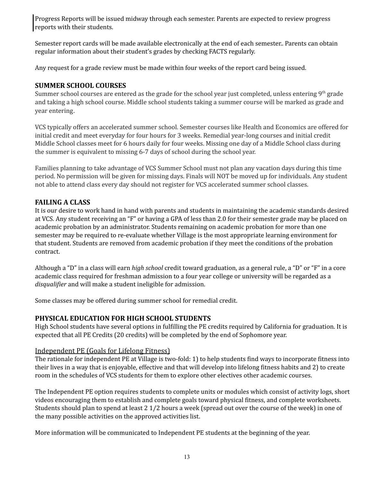Progress Reports will be issued midway through each semester. Parents are expected to review progress reports with their students.

Semester report cards will be made available electronically at the end of each semester.. Parents can obtain regular information about their student's grades by checking FACTS regularly.

<span id="page-12-0"></span>Any request for a grade review must be made within four weeks of the report card being issued.

### **SUMMER SCHOOL COURSES**

Summer school courses are entered as the grade for the school year just completed, unless entering 9<sup>th</sup> grade and taking a high school course. Middle school students taking a summer course will be marked as grade and year entering.

VCS typically offers an accelerated summer school. Semester courses like Health and Economics are offered for initial credit and meet everyday for four hours for 3 weeks. Remedial year-long courses and initial credit Middle School classes meet for 6 hours daily for four weeks. Missing one day of a Middle School class during the summer is equivalent to missing 6-7 days of school during the school year.

Families planning to take advantage of VCS Summer School must not plan any vacation days during this time period. No permission will be given for missing days. Finals will NOT be moved up for individuals. Any student not able to attend class every day should not register for VCS accelerated summer school classes.

### <span id="page-12-1"></span>**FAILING A CLASS**

It is our desire to work hand in hand with parents and students in maintaining the academic standards desired at VCS. Any student receiving an "F" or having a GPA of less than 2.0 for their semester grade may be placed on academic probation by an administrator. Students remaining on academic probation for more than one semester may be required to re-evaluate whether Village is the most appropriate learning environment for that student. Students are removed from academic probation if they meet the conditions of the probation contract.

Although a "D" in a class will earn *high school* credit toward graduation, as a general rule, a "D" or "F" in a core academic class required for freshman admission to a four year college or university will be regarded as a *disqualifier* and will make a student ineligible for admission.

Some classes may be offered during summer school for remedial credit.

## **PHYSICAL EDUCATION FOR HIGH SCHOOL STUDENTS**

High School students have several options in fulfilling the PE credits required by California for graduation. It is expected that all PE Credits (20 credits) will be completed by the end of Sophomore year.

### <span id="page-12-2"></span>Independent PE (Goals for Lifelong Fitness)

The rationale for independent PE at Village is two-fold: 1) to help students find ways to incorporate fitness into their lives in a way that is enjoyable, effective and that will develop into lifelong fitness habits and 2) to create room in the schedules of VCS students for them to explore other electives other academic courses.

The Independent PE option requires students to complete units or modules which consist of activity logs, short videos encouraging them to establish and complete goals toward physical fitness, and complete worksheets. Students should plan to spend at least 2 1/2 hours a week (spread out over the course of the week) in one of the many possible activities on the approved activities list.

More information will be communicated to Independent PE students at the beginning of the year.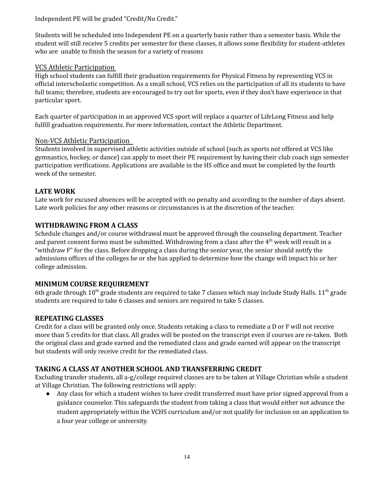Independent PE will be graded "Credit/No Credit."

Students will be scheduled into Independent PE on a quarterly basis rather than a semester basis. While the student will still receive 5 credits per semester for these classes, it allows some flexibility for student-athletes who are unable to finish the season for a variety of reasons

## VCS Athletic Participation

High school students can fulfill their graduation requirements for Physical Fitness by representing VCS in official interscholastic competition. As a small school, VCS relies on the participation of all its students to have full teams; therefore, students are encouraged to try out for sports, even if they don't have experience in that particular sport.

Each quarter of participation in an approved VCS sport will replace a quarter of LifeLong Fitness and help fulfill graduation requirements. For more information, contact the Athletic Department.

## <span id="page-13-0"></span>Non-VCS Athletic Participation

Students involved in supervised athletic activities outside of school (such as sports not offered at VCS like gymnastics, hockey, or dance) can apply to meet their PE requirement by having their club coach sign semester participation verifications. Applications are available in the HS office and must be completed by the fourth week of the semester.

# **LATE WORK**

Late work for excused absences will be accepted with no penalty and according to the number of days absent. Late work policies for any other reasons or circumstances is at the discretion of the teacher.

# <span id="page-13-1"></span>**WITHDRAWING FROM A CLASS**

Schedule changes and/or course withdrawal must be approved through the counseling department. Teacher and parent consent forms must be submitted. Withdrawing from a class after the 4<sup>th</sup> week will result in a "withdraw F" for the class. Before dropping a class during the senior year, the senior should notify the admissions offices of the colleges he or she has applied to determine how the change will impact his or her college admission.

## <span id="page-13-2"></span>**MINIMUM COURSE REQUIREMENT**

6th grade through  $10^{th}$  grade students are required to take 7 classes which may include Study Halls.  $11^{th}$  grade students are required to take 6 classes and seniors are required to take 5 classes.

# <span id="page-13-3"></span>**REPEATING CLASSES**

Credit for a class will be granted only once. Students retaking a class to remediate a D or F will not receive more than 5 credits for that class. All grades will be posted on the transcript even if courses are re-taken. Both the original class and grade earned and the remediated class and grade earned will appear on the transcript but students will only receive credit for the remediated class.

# **TAKING A CLASS AT ANOTHER SCHOOL AND TRANSFERRING CREDIT**

Excluding transfer students, all a-g/college required classes are to be taken at Village Christian while a student at Village Christian. The following restrictions will apply:

● Any class for which a student wishes to have credit transferred must have prior signed approval from a guidance counselor. This safeguards the student from taking a class that would either not advance the student appropriately within the VCHS curriculum and/or not qualify for inclusion on an application to a four year college or university.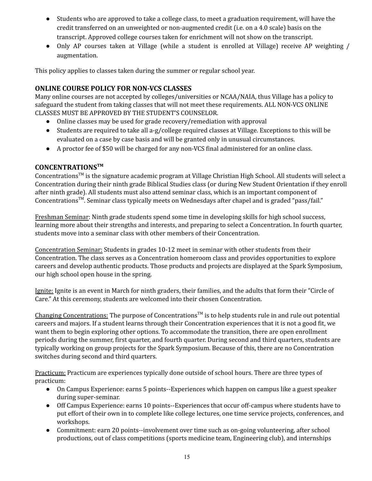- Students who are approved to take a college class, to meet a graduation requirement, will have the credit transferred on an unweighted or non-augmented credit (i.e. on a 4.0 scale) basis on the transcript. Approved college courses taken for enrichment will not show on the transcript.
- Only AP courses taken at Village (while a student is enrolled at Village) receive AP weighting / augmentation.

This policy applies to classes taken during the summer or regular school year.

### **ONLINE COURSE POLICY FOR NON-VCS CLASSES**

Many online courses are not accepted by colleges/universities or NCAA/NAIA, thus Village has a policy to safeguard the student from taking classes that will not meet these requirements. ALL NON-VCS ONLINE CLASSES MUST BE APPROVED BY THE STUDENT'S COUNSELOR.

- Online classes may be used for grade recovery/remediation with approval
- Students are required to take all a-g/college required classes at Village. Exceptions to this will be evaluated on a case by case basis and will be granted only in unusual circumstances.
- A proctor fee of \$50 will be charged for any non-VCS final administered for an online class.

### **CONCENTRATIONSTM**

Concentrations<sup>™</sup> is the signature academic program at Village Christian High School. All students will select a Concentration during their ninth grade Biblical Studies class (or during New Student Orientation if they enroll after ninth grade). All students must also attend seminar class, which is an important component of Concentrations<sup>™</sup>. Seminar class typically meets on Wednesdays after chapel and is graded "pass/fail."

Freshman Seminar: Ninth grade students spend some time in developing skills for high school success, learning more about their strengths and interests, and preparing to select a Concentration. In fourth quarter, students move into a seminar class with other members of their Concentration.

Concentration Seminar: Students in grades 10-12 meet in seminar with other students from their Concentration. The class serves as a Concentration homeroom class and provides opportunities to explore careers and develop authentic products. Those products and projects are displayed at the Spark Symposium, our high school open house in the spring.

Ignite: Ignite is an event in March for ninth graders, their families, and the adults that form their "Circle of Care." At this ceremony, students are welcomed into their chosen Concentration.

Changing Concentrations: The purpose of Concentrations<sup>™</sup> is to help students rule in and rule out potential careers and majors. If a student learns through their Concentration experiences that it is not a good fit, we want them to begin exploring other options. To accommodate the transition, there are open enrollment periods during the summer, first quarter, and fourth quarter. During second and third quarters, students are typically working on group projects for the Spark Symposium. Because of this, there are no Concentration switches during second and third quarters.

Practicum: Practicum are experiences typically done outside of school hours. There are three types of practicum:

- On Campus Experience: earns 5 points--Experiences which happen on campus like a guest speaker during super-seminar.
- Off Campus Experience: earns 10 points--Experiences that occur off-campus where students have to put effort of their own in to complete like college lectures, one time service projects, conferences, and workshops.
- Commitment: earn 20 points--involvement over time such as on-going volunteering, after school productions, out of class competitions (sports medicine team, Engineering club), and internships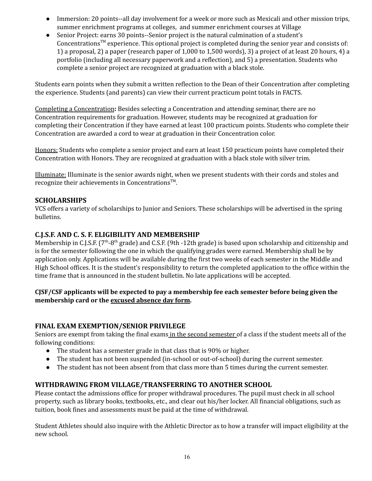- Immersion: 20 points--all day involvement for a week or more such as Mexicali and other mission trips, summer enrichment programs at colleges, and summer enrichment courses at Village
- Senior Project: earns 30 points--Senior project is the natural culmination of a student's Concentrations<sup>™</sup> experience. This optional project is completed during the senior year and consists of: 1) a proposal, 2) a paper (research paper of 1,000 to 1,500 words), 3) a project of at least 20 hours, 4) a portfolio (including all necessary paperwork and a reflection), and 5) a presentation. Students who complete a senior project are recognized at graduation with a black stole.

Students earn points when they submit a written reflection to the Dean of their Concentration after completing the experience. Students (and parents) can view their current practicum point totals in FACTS.

Completing a Concentration**:** Besides selecting a Concentration and attending seminar, there are no Concentration requirements for graduation. However, students may be recognized at graduation for completing their Concentration if they have earned at least 100 practicum points. Students who complete their Concentration are awarded a cord to wear at graduation in their Concentration color.

Honors: Students who complete a senior project and earn at least 150 practicum points have completed their Concentration with Honors. They are recognized at graduation with a black stole with silver trim.

Illuminate: Illuminate is the senior awards night, when we present students with their cords and stoles and recognize their achievements in Concentrations<sup>™</sup>.

### **SCHOLARSHIPS**

VCS offers a variety of scholarships to Junior and Seniors. These scholarships will be advertised in the spring bulletins.

### **C.J.S.F. AND C. S. F. ELIGIBILITY AND MEMBERSHIP**

Membership in C.J.S.F. (7<sup>th</sup>-8<sup>th</sup> grade) and C.S.F. (9th -12th grade) is based upon scholarship and citizenship and is for the semester following the one in which the qualifying grades were earned. Membership shall be by application only. Applications will be available during the first two weeks of each semester in the Middle and High School offices. It is the student's responsibility to return the completed application to the office within the time frame that is announced in the student bulletin. No late applications will be accepted.

### <span id="page-15-0"></span>**CJSF/CSF applicants will be expected to pay a membership fee each semester before being given the membership card or the excused absence day form.**

### <span id="page-15-1"></span>**FINAL EXAM EXEMPTION/SENIOR PRIVILEGE**

Seniors are exempt from taking the final exams in the second semester of a class if the student meets all of the following conditions:

- The student has a semester grade in that class that is 90% or higher.
- The student has not been suspended (in-school or out-of-school) during the current semester.
- The student has not been absent from that class more than 5 times during the current semester.

### <span id="page-15-2"></span>**WITHDRAWING FROM VILLAGE/TRANSFERRING TO ANOTHER SCHOOL**

Please contact the admissions office for proper withdrawal procedures. The pupil must check in all school property, such as library books, textbooks, etc., and clear out his/her locker. All financial obligations, such as tuition, book fines and assessments must be paid at the time of withdrawal.

Student Athletes should also inquire with the Athletic Director as to how a transfer will impact eligibility at the new school.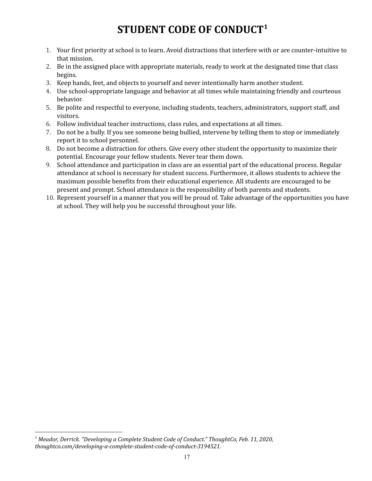# **STUDENT CODE OF CONDUCT<sup>1</sup>**

- <span id="page-16-0"></span>1. Your first priority at school is to learn. Avoid distractions that interfere with or are counter-intuitive to that mission.
- 2. Be in the assigned place with appropriate materials, ready to work at the designated time that class begins.
- 3. Keep hands, feet, and objects to yourself and never intentionally harm another student.
- 4. Use school-appropriate language and behavior at all times while maintaining friendly and courteous behavior.
- 5. Be polite and respectful to everyone, including students, teachers, administrators, support staff, and visitors.
- 6. Follow individual teacher instructions, class rules, and expectations at all times.
- 7. Do not be a bully. If you see someone being bullied, intervene by telling them to stop or immediately report it to school personnel.
- 8. Do not become a distraction for others. Give every other student the opportunity to maximize their potential. Encourage your fellow students. Never tear them down.
- 9. School attendance and participation in class are an essential part of the educational process. Regular attendance at school is necessary for student success. Furthermore, it allows students to achieve the maximum possible benefits from their educational experience. All students are encouraged to be present and prompt. School attendance is the responsibility of both parents and students.
- 10. Represent yourself in a manner that you will be proud of. Take advantage of the opportunities you have at school. They will help you be successful throughout your life.

*<sup>1</sup> Meador, Derrick. "Developing a Complete Student Code of Conduct." ThoughtCo, Feb. 11, 2020, thoughtco.com/developing-a-complete-student-code-of-conduct-3194521.*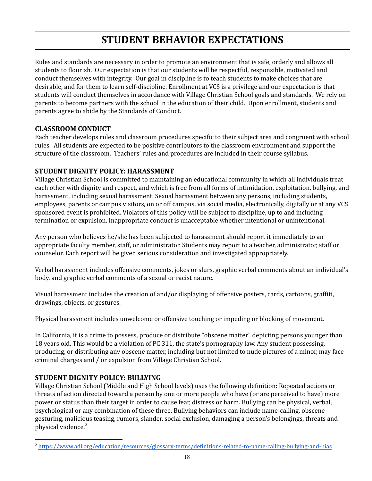# **STUDENT BEHAVIOR EXPECTATIONS**

<span id="page-17-0"></span>Rules and standards are necessary in order to promote an environment that is safe, orderly and allows all students to flourish. Our expectation is that our students will be respectful, responsible, motivated and conduct themselves with integrity. Our goal in discipline is to teach students to make choices that are desirable, and for them to learn self-discipline. Enrollment at VCS is a privilege and our expectation is that students will conduct themselves in accordance with Village Christian School goals and standards. We rely on parents to become partners with the school in the education of their child. Upon enrollment, students and parents agree to abide by the Standards of Conduct.

## <span id="page-17-1"></span>**CLASSROOM CONDUCT**

Each teacher develops rules and classroom procedures specific to their subject area and congruent with school rules. All students are expected to be positive contributors to the classroom environment and support the structure of the classroom. Teachers' rules and procedures are included in their course syllabus.

### <span id="page-17-2"></span>**STUDENT DIGNITY POLICY: HARASSMENT**

Village Christian School is committed to maintaining an educational community in which all individuals treat each other with dignity and respect, and which is free from all forms of intimidation, exploitation, bullying, and harassment, including sexual harassment. Sexual harassment between any persons, including students, employees, parents or campus visitors, on or off campus, via social media, electronically, digitally or at any VCS sponsored event is prohibited. Violators of this policy will be subject to discipline, up to and including termination or expulsion. Inappropriate conduct is unacceptable whether intentional or unintentional.

Any person who believes he/she has been subjected to harassment should report it immediately to an appropriate faculty member, staff, or administrator. Students may report to a teacher, administrator, staff or counselor. Each report will be given serious consideration and investigated appropriately.

Verbal harassment includes offensive comments, jokes or slurs, graphic verbal comments about an individual's body, and graphic verbal comments of a sexual or racist nature.

Visual harassment includes the creation of and/or displaying of offensive posters, cards, cartoons, graffiti, drawings, objects, or gestures.

Physical harassment includes unwelcome or offensive touching or impeding or blocking of movement.

In California, it is a crime to possess, produce or distribute "obscene matter" depicting persons younger than 18 years old. This would be a violation of PC 311, the state's pornography law. Any student possessing, producing, or distributing any obscene matter, including but not limited to nude pictures of a minor, may face criminal charges and / or expulsion from Village Christian School.

## <span id="page-17-3"></span>**STUDENT DIGNITY POLICY: BULLYING**

Village Christian School (Middle and High School levels) uses the following definition: Repeated actions or threats of action directed toward a person by one or more people who have (or are perceived to have) more power or status than their target in order to cause fear, distress or harm. Bullying can be physical, verbal, psychological or any combination of these three. Bullying behaviors can include name-calling, obscene gesturing, malicious teasing, rumors, slander, social exclusion, damaging a person's belongings, threats and physical violence. *2*

<sup>2</sup> <https://www.adl.org/education/resources/glossary-terms/definitions-related-to-name-calling-bullying-and-bias>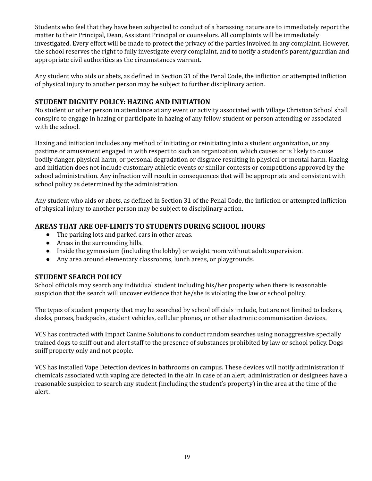Students who feel that they have been subjected to conduct of a harassing nature are to immediately report the matter to their Principal, Dean, Assistant Principal or counselors. All complaints will be immediately investigated. Every effort will be made to protect the privacy of the parties involved in any complaint. However, the school reserves the right to fully investigate every complaint, and to notify a student's parent/guardian and appropriate civil authorities as the circumstances warrant.

Any student who aids or abets, as defined in Section 31 of the Penal Code, the infliction or attempted infliction of physical injury to another person may be subject to further disciplinary action.

### <span id="page-18-0"></span>**STUDENT DIGNITY POLICY: HAZING AND INITIATION**

No student or other person in attendance at any event or activity associated with Village Christian School shall conspire to engage in hazing or participate in hazing of any fellow student or person attending or associated with the school.

Hazing and initiation includes any method of initiating or reinitiating into a student organization, or any pastime or amusement engaged in with respect to such an organization, which causes or is likely to cause bodily danger, physical harm, or personal degradation or disgrace resulting in physical or mental harm. Hazing and initiation does not include customary athletic events or similar contests or competitions approved by the school administration. Any infraction will result in consequences that will be appropriate and consistent with school policy as determined by the administration.

Any student who aids or abets, as defined in Section 31 of the Penal Code, the infliction or attempted infliction of physical injury to another person may be subject to disciplinary action.

### <span id="page-18-1"></span>**AREAS THAT ARE OFF-LIMITS TO STUDENTS DURING SCHOOL HOURS**

- The parking lots and parked cars in other areas.
- Areas in the surrounding hills.
- Inside the gymnasium (including the lobby) or weight room without adult supervision.
- Any area around elementary classrooms, lunch areas, or playgrounds.

### <span id="page-18-2"></span>**STUDENT SEARCH POLICY**

School officials may search any individual student including his/her property when there is reasonable suspicion that the search will uncover evidence that he/she is violating the law or school policy.

The types of student property that may be searched by school officials include, but are not limited to lockers, desks, purses, backpacks, student vehicles, cellular phones, or other electronic communication devices.

VCS has contracted with Impact Canine Solutions to conduct random searches using nonaggressive specially trained dogs to sniff out and alert staff to the presence of substances prohibited by law or school policy. Dogs sniff property only and not people.

VCS has installed Vape Detection devices in bathrooms on campus. These devices will notify administration if chemicals associated with vaping are detected in the air. In case of an alert, administration or designees have a reasonable suspicion to search any student (including the student's property) in the area at the time of the alert.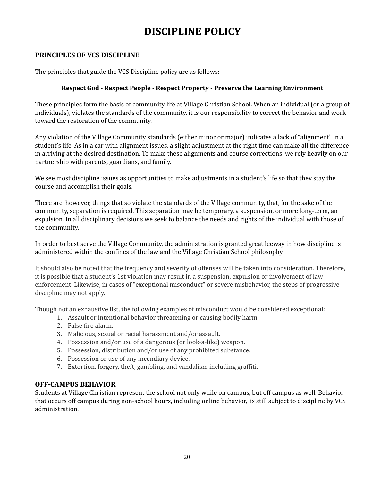# **DISCIPLINE POLICY**

### <span id="page-19-1"></span><span id="page-19-0"></span>**PRINCIPLES OF VCS DISCIPLINE**

The principles that guide the VCS Discipline policy are as follows:

### **Respect God - Respect People - Respect Property - Preserve the Learning Environment**

These principles form the basis of community life at Village Christian School. When an individual (or a group of individuals), violates the standards of the community, it is our responsibility to correct the behavior and work toward the restoration of the community.

Any violation of the Village Community standards (either minor or major) indicates a lack of "alignment" in a student's life. As in a car with alignment issues, a slight adjustment at the right time can make all the difference in arriving at the desired destination. To make these alignments and course corrections, we rely heavily on our partnership with parents, guardians, and family.

We see most discipline issues as opportunities to make adjustments in a student's life so that they stay the course and accomplish their goals.

There are, however, things that so violate the standards of the Village community, that, for the sake of the community, separation is required. This separation may be temporary, a suspension, or more long-term, an expulsion. In all disciplinary decisions we seek to balance the needs and rights of the individual with those of the community.

In order to best serve the Village Community, the administration is granted great leeway in how discipline is administered within the confines of the law and the Village Christian School philosophy.

It should also be noted that the frequency and severity of offenses will be taken into consideration. Therefore, it is possible that a student's 1st violation may result in a suspension, expulsion or involvement of law enforcement. Likewise, in cases of "exceptional misconduct" or severe misbehavior, the steps of progressive discipline may not apply.

Though not an exhaustive list, the following examples of misconduct would be considered exceptional:

- 1. Assault or intentional behavior threatening or causing bodily harm.
- 2. False fire alarm.
- 3. Malicious, sexual or racial harassment and/or assault.
- 4. Possession and/or use of a dangerous (or look-a-like) weapon.
- 5. Possession, distribution and/or use of any prohibited substance.
- 6. Possession or use of any incendiary device.
- 7. Extortion, forgery, theft, gambling, and vandalism including graffiti.

### <span id="page-19-2"></span>**OFF-CAMPUS BEHAVIOR**

Students at Village Christian represent the school not only while on campus, but off campus as well. Behavior that occurs off campus during non-school hours, including online behavior, is still subject to discipline by VCS administration.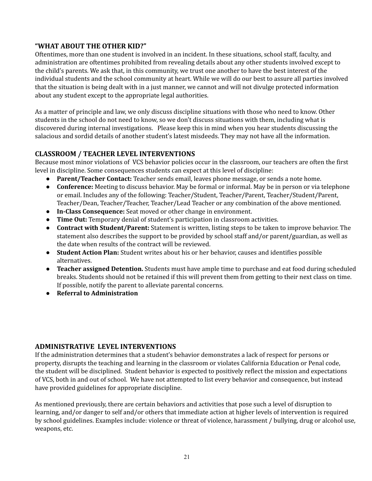### <span id="page-20-0"></span>**"WHAT ABOUT THE OTHER KID?"**

Oftentimes, more than one student is involved in an incident. In these situations, school staff, faculty, and administration are oftentimes prohibited from revealing details about any other students involved except to the child's parents. We ask that, in this community, we trust one another to have the best interest of the individual students and the school community at heart. While we will do our best to assure all parties involved that the situation is being dealt with in a just manner, we cannot and will not divulge protected information about any student except to the appropriate legal authorities.

As a matter of principle and law, we only discuss discipline situations with those who need to know. Other students in the school do not need to know, so we don't discuss situations with them, including what is discovered during internal investigations. Please keep this in mind when you hear students discussing the salacious and sordid details of another student's latest misdeeds. They may not have all the information.

### <span id="page-20-1"></span>**CLASSROOM / TEACHER LEVEL INTERVENTIONS**

Because most minor violations of VCS behavior policies occur in the classroom, our teachers are often the first level in discipline. Some consequences students can expect at this level of discipline:

- **Parent/Teacher Contact:** Teacher sends email, leaves phone message, or sends a note home.
- **Conference:** Meeting to discuss behavior. May be formal or informal. May be in person or via telephone or email. Includes any of the following: Teacher/Student, Teacher/Parent, Teacher/Student/Parent, Teacher/Dean, Teacher/Teacher, Teacher/Lead Teacher or any combination of the above mentioned.
- **In-Class Consequence:** Seat moved or other change in environment.
- **Time Out:** Temporary denial of student's participation in classroom activities.
- **Contract with Student/Parent:** Statement is written, listing steps to be taken to improve behavior. The statement also describes the support to be provided by school staff and/or parent/guardian, as well as the date when results of the contract will be reviewed.
- **Student Action Plan:** Student writes about his or her behavior, causes and identifies possible alternatives.
- **Teacher assigned Detention.** Students must have ample time to purchase and eat food during scheduled breaks. Students should not be retained if this will prevent them from getting to their next class on time. If possible, notify the parent to alleviate parental concerns.
- **Referral to Administration**

### <span id="page-20-2"></span>**ADMINISTRATIVE LEVEL INTERVENTIONS**

If the administration determines that a student's behavior demonstrates a lack of respect for persons or property, disrupts the teaching and learning in the classroom or violates California Education or Penal code, the student will be disciplined. Student behavior is expected to positively reflect the mission and expectations of VCS, both in and out of school. We have not attempted to list every behavior and consequence, but instead have provided guidelines for appropriate discipline.

As mentioned previously, there are certain behaviors and activities that pose such a level of disruption to learning, and/or danger to self and/or others that immediate action at higher levels of intervention is required by school guidelines. Examples include: violence or threat of violence, harassment / bullying, drug or alcohol use, weapons, etc.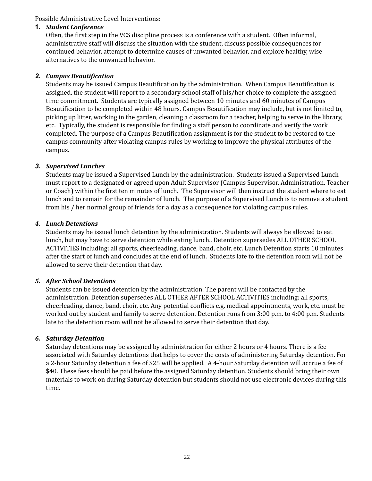Possible Administrative Level Interventions:

### **1.** *Student Conference*

Often, the first step in the VCS discipline process is a conference with a student. Often informal, administrative staff will discuss the situation with the student, discuss possible consequences for continued behavior, attempt to determine causes of unwanted behavior, and explore healthy, wise alternatives to the unwanted behavior.

### *2. Campus Beautification*

Students may be issued Campus Beautification by the administration. When Campus Beautification is assigned, the student will report to a secondary school staff of his/her choice to complete the assigned time commitment. Students are typically assigned between 10 minutes and 60 minutes of Campus Beautification to be completed within 48 hours. Campus Beautification may include, but is not limited to, picking up litter, working in the garden, cleaning a classroom for a teacher, helping to serve in the library, etc. Typically, the student is responsible for finding a staff person to coordinate and verify the work completed. The purpose of a Campus Beautification assignment is for the student to be restored to the campus community after violating campus rules by working to improve the physical attributes of the campus.

### *3. Supervised Lunches*

Students may be issued a Supervised Lunch by the administration. Students issued a Supervised Lunch must report to a designated or agreed upon Adult Supervisor (Campus Supervisor, Administration, Teacher or Coach) within the first ten minutes of lunch. The Supervisor will then instruct the student where to eat lunch and to remain for the remainder of lunch. The purpose of a Supervised Lunch is to remove a student from his / her normal group of friends for a day as a consequence for violating campus rules.

### *4. Lunch Detentions*

Students may be issued lunch detention by the administration. Students will always be allowed to eat lunch, but may have to serve detention while eating lunch.. Detention supersedes ALL OTHER SCHOOL ACTIVITIES including: all sports, cheerleading, dance, band, choir, etc. Lunch Detention starts 10 minutes after the start of lunch and concludes at the end of lunch. Students late to the detention room will not be allowed to serve their detention that day.

### *5. After School Detentions*

Students can be issued detention by the administration. The parent will be contacted by the administration. Detention supersedes ALL OTHER AFTER SCHOOL ACTIVITIES including: all sports, cheerleading, dance, band, choir, etc. Any potential conflicts e.g. medical appointments, work, etc. must be worked out by student and family to serve detention. Detention runs from 3:00 p.m. to 4:00 p.m. Students late to the detention room will not be allowed to serve their detention that day.

### *6. Saturday Detention*

Saturday detentions may be assigned by administration for either 2 hours or 4 hours. There is a fee associated with Saturday detentions that helps to cover the costs of administering Saturday detention. For a 2-hour Saturday detention a fee of \$25 will be applied. A 4-hour Saturday detention will accrue a fee of \$40. These fees should be paid before the assigned Saturday detention. Students should bring their own materials to work on during Saturday detention but students should not use electronic devices during this time.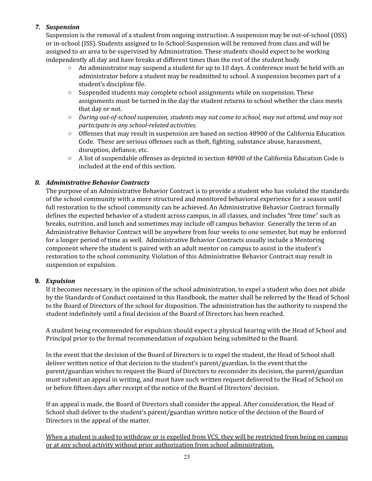## *7. Suspension*

Suspension is the removal of a student from ongoing instruction. A suspension may be out-of-school (OSS) or in-school (ISS). Students assigned to In-School-Suspension will be removed from class and will be assigned to an area to be supervised by Administration. These students should expect to be working independently all day and have breaks at different times than the rest of the student body.

- $\circ$  An administrator may suspend a student for up to 10 days. A conference must be held with an administrator before a student may be readmitted to school. A suspension becomes part of a student's discipline file.
- $\circ$  Suspended students may complete school assignments while on suspension. These assignments must be turned in the day the student returns to school whether the class meets that day or not.
- *During out-of-school suspension, students may not come to school, may not attend, and may not participate in any school-related activities.*
- Offenses that may result in suspension are based on section 48900 of the California Education Code. These are serious offenses such as theft, fighting, substance abuse, harassment, disruption, defiance, etc.
- A list of suspendable offenses as depicted in section 48900 of the California Education Code is included at the end of this section.

### *8. Administrative Behavior Contracts*

The purpose of an Administrative Behavior Contract is to provide a student who has violated the standards of the school community with a more structured and monitored behavioral experience for a season until full restoration to the school community can be achieved. An Administrative Behavior Contract formally defines the expected behavior of a student across campus, in all classes, and includes "free time" such as breaks, nutrition, and lunch and sometimes may include off campus behavior. Generally the term of an Administrative Behavior Contract will be anywhere from four weeks to one semester, but may be enforced for a longer period of time as well. Administrative Behavior Contracts usually include a Mentoring component where the student is paired with an adult mentor on campus to assist in the student's restoration to the school community. Violation of this Administrative Behavior Contract may result in suspension or expulsion.

### **9.** *Expulsion*

If it becomes necessary, in the opinion of the school administration, to expel a student who does not abide by the Standards of Conduct contained in this Handbook, the matter shall be referred by the Head of School to the Board of Directors of the school for disposition. The administration has the authority to suspend the student indefinitely until a final decision of the Board of Directors has been reached.

A student being recommended for expulsion should expect a physical hearing with the Head of School and Principal prior to the formal recommendation of expulsion being submitted to the Board.

In the event that the decision of the Board of Directors is to expel the student, the Head of School shall deliver written notice of that decision to the student's parent/guardian. In the event that the parent/guardian wishes to request the Board of Directors to reconsider its decision, the parent/guardian must submit an appeal in writing, and must have such written request delivered to the Head of School on or before fifteen days after receipt of the notice of the Board of Directors' decision.

If an appeal is made, the Board of Directors shall consider the appeal. After consideration, the Head of School shall deliver to the student's parent/guardian written notice of the decision of the Board of Directors in the appeal of the matter.

When a student is asked to withdraw or is expelled from VCS, they will be restricted from being on campus or at any school activity without prior authorization from school administration.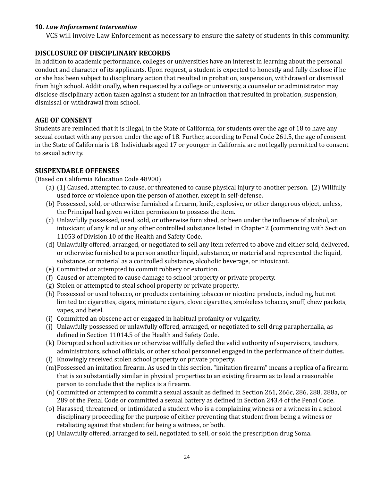### **10.** *Law Enforcement Intervention*

VCS will involve Law Enforcement as necessary to ensure the safety of students in this community.

### <span id="page-23-0"></span>**DISCLOSURE OF DISCIPLINARY RECORDS**

In addition to academic performance, colleges or universities have an interest in learning about the personal conduct and character of its applicants. Upon request, a student is expected to honestly and fully disclose if he or she has been subject to disciplinary action that resulted in probation, suspension, withdrawal or dismissal from high school. Additionally, when requested by a college or university, a counselor or administrator may disclose disciplinary action taken against a student for an infraction that resulted in probation, suspension, dismissal or withdrawal from school.

### <span id="page-23-1"></span>**AGE OF CONSENT**

Students are reminded that it is illegal, in the State of California, for students over the age of 18 to have any sexual contact with any person under the age of 18. Further, according to Penal Code 261.5, the age of consent in the State of California is 18. Individuals aged 17 or younger in California are not legally permitted to consent to sexual activity.

### <span id="page-23-2"></span>**SUSPENDABLE OFFENSES**

(Based on California Education Code 48900)

- (a) (1) Caused, attempted to cause, or threatened to cause physical injury to another person. (2) Willfully used force or violence upon the person of another, except in self-defense.
- (b) Possessed, sold, or otherwise furnished a firearm, knife, explosive, or other dangerous object, unless, the Principal had given written permission to possess the item.
- (c) Unlawfully possessed, used, sold, or otherwise furnished, or been under the influence of alcohol, an intoxicant of any kind or any other controlled substance listed in Chapter 2 (commencing with Section 11053 of Division 10 of the Health and Safety Code.
- (d) Unlawfully offered, arranged, or negotiated to sell any item referred to above and either sold, delivered, or otherwise furnished to a person another liquid, substance, or material and represented the liquid, substance, or material as a controlled substance, alcoholic beverage, or intoxicant.
- (e) Committed or attempted to commit robbery or extortion.
- (f) Caused or attempted to cause damage to school property or private property.
- (g) Stolen or attempted to steal school property or private property.
- (h) Possessed or used tobacco, or products containing tobacco or nicotine products, including, but not limited to: cigarettes, cigars, miniature cigars, clove cigarettes, smokeless tobacco, snuff, chew packets, vapes, and betel.
- (i) Committed an obscene act or engaged in habitual profanity or vulgarity.
- (j) Unlawfully possessed or unlawfully offered, arranged, or negotiated to sell drug paraphernalia, as defined in Section 11014.5 of the Health and Safety Code.
- (k) Disrupted school activities or otherwise willfully defied the valid authority of supervisors, teachers, administrators, school officials, or other school personnel engaged in the performance of their duties.
- (l) Knowingly received stolen school property or private property.
- (m)Possessed an imitation firearm. As used in this section, "imitation firearm" means a replica of a firearm that is so substantially similar in physical properties to an existing firearm as to lead a reasonable person to conclude that the replica is a firearm.
- (n) Committed or attempted to commit a sexual assault as defined in Section 261, 266c, 286, 288, 288a, or 289 of the Penal Code or committed a sexual battery as defined in Section 243.4 of the Penal Code.
- (o) Harassed, threatened, or intimidated a student who is a complaining witness or a witness in a school disciplinary proceeding for the purpose of either preventing that student from being a witness or retaliating against that student for being a witness, or both.
- (p) Unlawfully offered, arranged to sell, negotiated to sell, or sold the prescription drug Soma.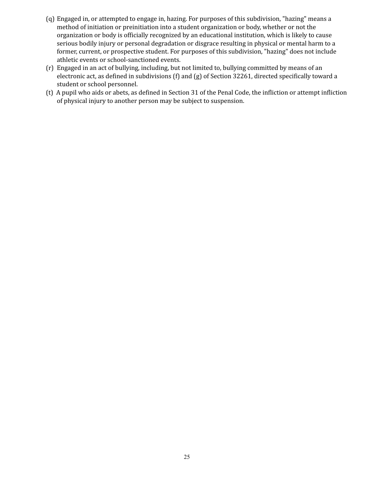- (q) Engaged in, or attempted to engage in, hazing. For purposes of this subdivision, "hazing" means a method of initiation or preinitiation into a student organization or body, whether or not the organization or body is officially recognized by an educational institution, which is likely to cause serious bodily injury or personal degradation or disgrace resulting in physical or mental harm to a former, current, or prospective student. For purposes of this subdivision, "hazing" does not include athletic events or school-sanctioned events.
- (r) Engaged in an act of bullying, including, but not limited to, bullying committed by means of an electronic act, as defined in subdivisions (f) and (g) of Section 32261, directed specifically toward a student or school personnel.
- (t) A pupil who aids or abets, as defined in Section 31 of the Penal Code, the infliction or attempt infliction of physical injury to another person may be subject to suspension.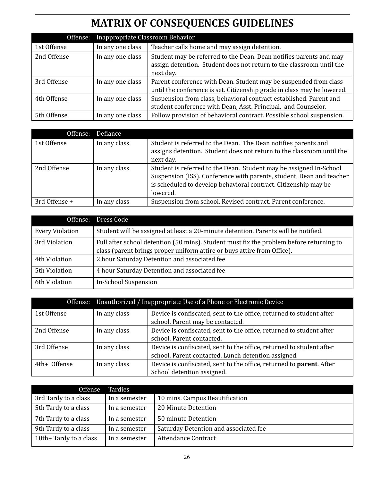# **MATRIX OF CONSEQUENCES GUIDELINES**

<span id="page-25-0"></span>

| Offense:    | Inappropriate Classroom Behavior |                                                                                                                                                         |
|-------------|----------------------------------|---------------------------------------------------------------------------------------------------------------------------------------------------------|
| 1st Offense | In any one class                 | Teacher calls home and may assign detention.                                                                                                            |
| 2nd Offense | In any one class                 | Student may be referred to the Dean. Dean notifies parents and may<br>assign detention. Student does not return to the classroom until the<br>next day. |
| 3rd Offense | In any one class                 | Parent conference with Dean. Student may be suspended from class<br>until the conference is set. Citizenship grade in class may be lowered.             |
| 4th Offense | In any one class                 | Suspension from class, behavioral contract established. Parent and<br>student conference with Dean, Asst. Principal, and Counselor.                     |
| 5th Offense | In any one class                 | Follow provision of behavioral contract. Possible school suspension.                                                                                    |

| Offense:      | Defiance     |                                                                                                                                                                                                                           |
|---------------|--------------|---------------------------------------------------------------------------------------------------------------------------------------------------------------------------------------------------------------------------|
| 1st Offense   | In any class | Student is referred to the Dean. The Dean notifies parents and<br>assigns detention. Student does not return to the classroom until the<br>next day.                                                                      |
| 2nd Offense   | In any class | Student is referred to the Dean. Student may be assigned In-School<br>Suspension (ISS). Conference with parents, student, Dean and teacher<br>is scheduled to develop behavioral contract. Citizenship may be<br>lowered. |
| 3rd Offense + | In any class | Suspension from school. Revised contract. Parent conference.                                                                                                                                                              |

|                        | Offense: Dress Code                                                                                                                                                |
|------------------------|--------------------------------------------------------------------------------------------------------------------------------------------------------------------|
| <b>Every Violation</b> | Student will be assigned at least a 20-minute detention. Parents will be notified.                                                                                 |
| 3rd Violation          | Full after school detention (50 mins). Student must fix the problem before returning to<br>class (parent brings proper uniform attire or buys attire from Office). |
| 4th Violation          | 2 hour Saturday Detention and associated fee                                                                                                                       |
| 5th Violation          | 4 hour Saturday Detention and associated fee                                                                                                                       |
| 6th Violation          | <b>In-School Suspension</b>                                                                                                                                        |

|              | Offense: Unauthorized / Inappropriate Use of a Phone or Electronic Device |                                                                                                          |  |
|--------------|---------------------------------------------------------------------------|----------------------------------------------------------------------------------------------------------|--|
| 1st Offense  | In any class                                                              | Device is confiscated, sent to the office, returned to student after<br>school. Parent may be contacted. |  |
|              |                                                                           |                                                                                                          |  |
| 2nd Offense  | In any class                                                              | Device is confiscated, sent to the office, returned to student after                                     |  |
|              |                                                                           | school. Parent contacted.                                                                                |  |
| 3rd Offense  | In any class                                                              | Device is confiscated, sent to the office, returned to student after                                     |  |
|              |                                                                           | school. Parent contacted. Lunch detention assigned.                                                      |  |
| 4th+ Offense | In any class                                                              | Device is confiscated, sent to the office, returned to parent. After                                     |  |
|              |                                                                           | School detention assigned.                                                                               |  |

| Offense: Tardies       |               |                                       |
|------------------------|---------------|---------------------------------------|
| 3rd Tardy to a class   | In a semester | 10 mins. Campus Beautification        |
| 5th Tardy to a class   | In a semester | 20 Minute Detention                   |
| 7th Tardy to a class   | In a semester | 50 minute Detention                   |
| 9th Tardy to a class   | In a semester | Saturday Detention and associated fee |
| 10th+ Tardy to a class | In a semester | <b>Attendance Contract</b>            |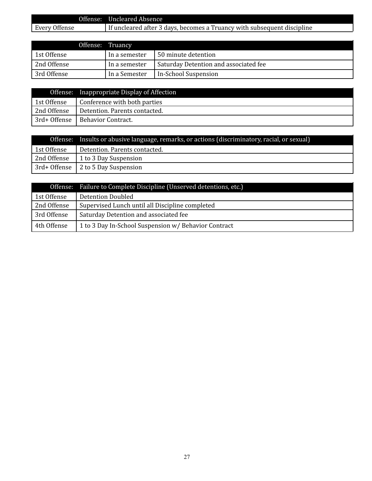|               | Offense: Uncleared Absence                                              |
|---------------|-------------------------------------------------------------------------|
| Every Offense | If uncleared after 3 days, becomes a Truancy with subsequent discipline |
|               |                                                                         |

|             | Offense: Truancy |                                       |
|-------------|------------------|---------------------------------------|
| 1st Offense | In a semester    | 50 minute detention                   |
| 2nd Offense | In a semester    | Saturday Detention and associated fee |
| 3rd Offense | In a Semester    | In-School Suspension                  |

|              | Offense: Inappropriate Display of Affection |
|--------------|---------------------------------------------|
| 1st Offense  | Conference with both parties                |
| 2nd Offense  | Detention. Parents contacted.               |
| 3rd+ Offense | Behavior Contract.                          |

|             | Offense: Insults or abusive language, remarks, or actions (discriminatory, racial, or sexual) |
|-------------|-----------------------------------------------------------------------------------------------|
| 1st Offense | Detention. Parents contacted.                                                                 |
| 2nd Offense | 1 to 3 Day Suspension                                                                         |
|             | 3rd+ Offense   2 to 5 Day Suspension                                                          |

|             | Offense: Failure to Complete Discipline (Unserved detentions, etc.) |
|-------------|---------------------------------------------------------------------|
| 1st Offense | Detention Doubled                                                   |
| 2nd Offense | Supervised Lunch until all Discipline completed                     |
| 3rd Offense | Saturday Detention and associated fee                               |
| 4th Offense | 1 to 3 Day In-School Suspension w/ Behavior Contract                |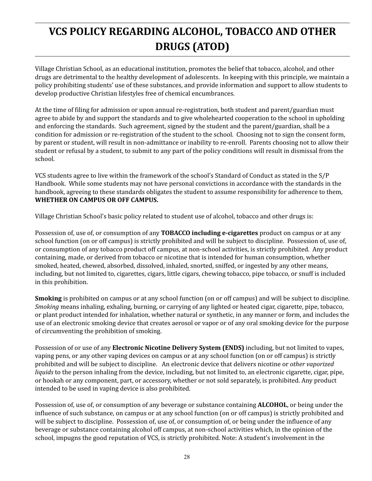# <span id="page-27-0"></span>**VCS POLICY REGARDING ALCOHOL, TOBACCO AND OTHER DRUGS (ATOD)**

Village Christian School, as an educational institution, promotes the belief that tobacco, alcohol, and other drugs are detrimental to the healthy development of adolescents. In keeping with this principle, we maintain a policy prohibiting students' use of these substances, and provide information and support to allow students to develop productive Christian lifestyles free of chemical encumbrances.

At the time of filing for admission or upon annual re-registration, both student and parent/guardian must agree to abide by and support the standards and to give wholehearted cooperation to the school in upholding and enforcing the standards. Such agreement, signed by the student and the parent/guardian, shall be a condition for admission or re-registration of the student to the school. Choosing not to sign the consent form, by parent or student, will result in non-admittance or inability to re-enroll. Parents choosing not to allow their student or refusal by a student, to submit to any part of the policy conditions will result in dismissal from the school.

VCS students agree to live within the framework of the school's Standard of Conduct as stated in the S/P Handbook. While some students may not have personal convictions in accordance with the standards in the handbook, agreeing to these standards obligates the student to assume responsibility for adherence to them, **WHETHER ON CAMPUS OR OFF CAMPUS.**

Village Christian School's basic policy related to student use of alcohol, tobacco and other drugs is:

Possession of, use of, or consumption of any **TOBACCO including e-cigarettes** product on campus or at any school function (on or off campus) is strictly prohibited and will be subject to discipline. Possession of, use of, or consumption of any tobacco product off campus, at non-school activities, is strictly prohibited. Any product containing, made, or derived from tobacco or nicotine that is intended for human consumption, whether smoked, heated, chewed, absorbed, dissolved, inhaled, snorted, sniffed, or ingested by any other means, including, but not limited to, cigarettes, cigars, little cigars, chewing tobacco, pipe tobacco, or snuff is included in this prohibition.

**Smoking** is prohibited on campus or at any school function (on or off campus) and will be subject to discipline. *Smoking* means inhaling, exhaling, burning, or carrying of any lighted or heated cigar, cigarette, pipe, tobacco, or plant product intended for inhalation, whether natural or synthetic, in any manner or form, and includes the use of an electronic smoking device that creates aerosol or vapor or of any oral smoking device for the purpose of circumventing the prohibition of smoking.

Possession of or use of any **Electronic Nicotine Delivery System (ENDS)** including, but not limited to vapes, vaping pens, or any other vaping devices on campus or at any school function (on or off campus) is strictly prohibited and will be subject to discipline. An electronic device that delivers nicotine or *other vaporized liquids* to the person inhaling from the device, including, but not limited to, an electronic cigarette, cigar, pipe, or hookah or any component, part, or accessory, whether or not sold separately, is prohibited. Any product intended to be used in vaping device is also prohibited.

Possession of, use of, or consumption of any beverage or substance containing **ALCOHOL**, or being under the influence of such substance, on campus or at any school function (on or off campus) is strictly prohibited and will be subject to discipline. Possession of, use of, or consumption of, or being under the influence of any beverage or substance containing alcohol off campus, at non-school activities which, in the opinion of the school, impugns the good reputation of VCS, is strictly prohibited. Note: A student's involvement in the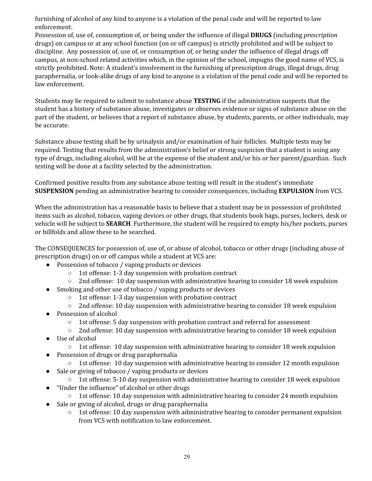furnishing of alcohol of any kind to anyone is a violation of the penal code and will be reported to law enforcement.

Possession of, use of, consumption of, or being under the influence of illegal **DRUGS** (including *prescription* drugs) on campus or at any school function (on or off campus) is strictly prohibited and will be subject to discipline. Any possession of, use of, or consumption of, or being under the influence of illegal drugs off campus, at non-school related activities which, in the opinion of the school, impugns the good name of VCS, is strictly prohibited. Note: A student's involvement in the furnishing of prescription drugs, illegal drugs, drug paraphernalia, or look-alike drugs of any kind to anyone is a violation of the penal code and will be reported to law enforcement.

Students may be required to submit to substance abuse **TESTING** if the administration suspects that the student has a history of substance abuse, investigates or observes evidence or signs of substance abuse on the part of the student, or believes that a report of substance abuse, by students, parents, or other individuals, may be accurate.

Substance abuse testing shall be by urinalysis and/or examination of hair follicles. Multiple tests may be required. Testing that results from the administration's belief or strong suspicion that a student is using any type of drugs, including alcohol, will be at the expense of the student and/or his or her parent/guardian. Such testing will be done at a facility selected by the administration.

Confirmed positive results from any substance abuse testing will result in the student's immediate **SUSPENSION** pending an administrative hearing to consider consequences, including **EXPULSION** from VCS.

When the administration has a reasonable basis to believe that a student may be in possession of prohibited items such as alcohol, tobacco, vaping devices or other drugs, that students book bags, purses, lockers, desk or vehicle will be subject to **SEARCH**. Furthermore, the student will be required to empty his/her pockets, purses or billfolds and allow these to be searched.

The CONSEQUENCES for possession of, use of, or abuse of alcohol, tobacco or other drugs (including abuse of prescription drugs) on or off campus while a student at VCS are:

- Possession of tobacco / vaping products or devices
	- 1st offense: 1-3 day suspension with probation contract
	- $\circ$  2nd offense: 10 day suspension with administrative hearing to consider 18 week expulsion
- Smoking and other use of tobacco / vaping products or devices
	- 1st offense: 1-3 day suspension with probation contract
	- $\circ$  2nd offense: 10 day suspension with administrative hearing to consider 18 week expulsion
- Possession of alcohol
	- 1st offense: 5 day suspension with probation contract and referral for assessment
	- 2nd offense: 10 day suspension with administrative hearing to consider 18 week expulsion
- Use of alcohol
	- $\circ$  1st offense: 10 day suspension with administrative hearing to consider 18 week expulsion
- Possession of drugs or drug paraphernalia
	- $\circ$  1st offense: 10 day suspension with administrative hearing to consider 12 month expulsion
- Sale or giving of tobacco / vaping products or devices
- 1st offense: 5-10 day suspension with administrative hearing to consider 18 week expulsion
- "Under the influence" of alcohol or other drugs
	- 1st offense: 10 day suspension with administrative hearing to consider 24 month expulsion
- Sale or giving of alcohol, drugs or drug paraphernalia
	- $\circ$  1st offense: 10 day suspension with administrative hearing to consider permanent expulsion from VCS with notification to law enforcement.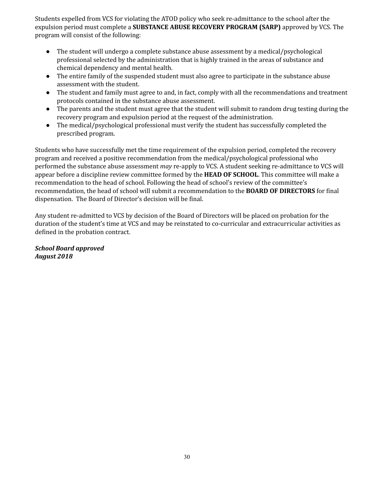Students expelled from VCS for violating the ATOD policy who seek re-admittance to the school after the expulsion period must complete a **SUBSTANCE ABUSE RECOVERY PROGRAM (SARP)** approved by VCS. The program will consist of the following:

- The student will undergo a complete substance abuse assessment by a medical/psychological professional selected by the administration that is highly trained in the areas of substance and chemical dependency and mental health.
- The entire family of the suspended student must also agree to participate in the substance abuse assessment with the student.
- The student and family must agree to and, in fact, comply with all the recommendations and treatment protocols contained in the substance abuse assessment.
- The parents and the student must agree that the student will submit to random drug testing during the recovery program and expulsion period at the request of the administration.
- The medical/psychological professional must verify the student has successfully completed the prescribed program.

Students who have successfully met the time requirement of the expulsion period, completed the recovery program and received a positive recommendation from the medical/psychological professional who performed the substance abuse assessment *may* re-apply to VCS. A student seeking re-admittance to VCS will appear before a discipline review committee formed by the **HEAD OF SCHOOL**. This committee will make a recommendation to the head of school. Following the head of school's review of the committee's recommendation, the head of school will submit a recommendation to the **BOARD OF DIRECTORS** for final dispensation. The Board of Director's decision will be final.

Any student re-admitted to VCS by decision of the Board of Directors will be placed on probation for the duration of the student's time at VCS and may be reinstated to co-curricular and extracurricular activities as defined in the probation contract.

*School Board approved August 2018*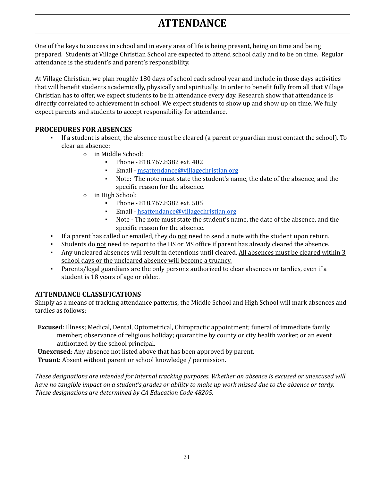# **ATTENDANCE**

<span id="page-30-0"></span>One of the keys to success in school and in every area of life is being present, being on time and being prepared. Students at Village Christian School are expected to attend school daily and to be on time. Regular attendance is the student's and parent's responsibility.

At Village Christian, we plan roughly 180 days of school each school year and include in those days activities that will benefit students academically, physically and spiritually. In order to benefit fully from all that Village Christian has to offer, we expect students to be in attendance every day. Research show that attendance is directly correlated to achievement in school. We expect students to show up and show up on time. We fully expect parents and students to accept responsibility for attendance.

## <span id="page-30-1"></span>**PROCEDURES FOR ABSENCES**

- If a student is absent, the absence must be cleared (a parent or guardian must contact the school). To clear an absence:
	- o in Middle School:
		- Phone 818.767.8382 ext. 402
		- **•** Email [msattendance@villagechristian.org](mailto:msattendance@villagechristian.org)
		- Note: The note must state the student's name, the date of the absence, and the specific reason for the absence.
	- o in High School:
		- Phone 818.767.8382 ext. 505
		- Email [hsattendance@villagechristian.org](mailto:hsattendance@villagechristian.org)
		- Note The note must state the student's name, the date of the absence, and the specific reason for the absence.
- If a parent has called or emailed, they do not need to send a note with the student upon return.
- Students do not need to report to the HS or MS office if parent has already cleared the absence.
- Any uncleared absences will result in detentions until cleared. All absences must be cleared within 3 school days or the uncleared absence will become a truancy.
- Parents/legal guardians are the only persons authorized to clear absences or tardies, even if a student is 18 years of age or older..

# <span id="page-30-2"></span>**ATTENDANCE CLASSIFICATIONS**

Simply as a means of tracking attendance patterns, the Middle School and High School will mark absences and tardies as follows:

**Excused**: Illness; Medical, Dental, Optometrical, Chiropractic appointment; funeral of immediate family member; observance of religious holiday; quarantine by county or city health worker, or an event authorized by the school principal.

**Unexcused**: Any absence not listed above that has been approved by parent.

**Truant**: Absent without parent or school knowledge / permission.

*These designations are intended for internal tracking purposes. Whether an absence is excused or unexcused will* have no tangible impact on a student's grades or ability to make up work missed due to the absence or tardy. *These designations are determined by CA Education Code 48205.*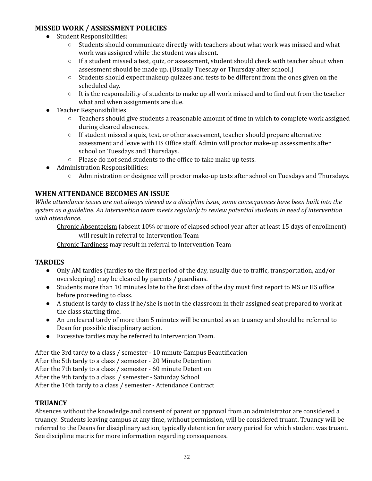## <span id="page-31-0"></span>**MISSED WORK / ASSESSMENT POLICIES**

- Student Responsibilities:
	- Students should communicate directly with teachers about what work was missed and what work was assigned while the student was absent.
	- $\circ$  If a student missed a test, quiz, or assessment, student should check with teacher about when assessment should be made up. (Usually Tuesday or Thursday after school.)
	- Students should expect makeup quizzes and tests to be different from the ones given on the scheduled day.
	- $\circ$  It is the responsibility of students to make up all work missed and to find out from the teacher what and when assignments are due.
- Teacher Responsibilities:
	- Teachers should give students a reasonable amount of time in which to complete work assigned during cleared absences.
	- If student missed a quiz, test, or other assessment, teacher should prepare alternative assessment and leave with HS Office staff. Admin will proctor make-up assessments after school on Tuesdays and Thursdays.
	- Please do not send students to the office to take make up tests.
- Administration Responsibilities:
	- Administration or designee will proctor make-up tests after school on Tuesdays and Thursdays.

### <span id="page-31-1"></span>**WHEN ATTENDANCE BECOMES AN ISSUE**

While attendance issues are not always viewed as a discipline issue, some consequences have been built into the system as a guideline. An intervention team meets regularly to review potential students in need of intervention *with attendance.*

Chronic Absenteeism (absent 10% or more of elapsed school year after at least 15 days of enrollment) will result in referral to Intervention Team

Chronic Tardiness may result in referral to Intervention Team

### <span id="page-31-2"></span>**TARDIES**

- Only AM tardies (tardies to the first period of the day, usually due to traffic, transportation, and/or oversleeping) may be cleared by parents / guardians.
- Students more than 10 minutes late to the first class of the day must first report to MS or HS office before proceeding to class.
- A student is tardy to class if he/she is not in the classroom in their assigned seat prepared to work at the class starting time.
- An uncleared tardy of more than 5 minutes will be counted as an truancy and should be referred to Dean for possible disciplinary action.
- Excessive tardies may be referred to Intervention Team.

After the 3rd tardy to a class / semester - 10 minute Campus Beautification After the 5th tardy to a class / semester - 20 Minute Detention After the 7th tardy to a class / semester - 60 minute Detention After the 9th tardy to a class / semester - Saturday School After the 10th tardy to a class / semester - Attendance Contract

### <span id="page-31-3"></span>**TRUANCY**

Absences without the knowledge and consent of parent or approval from an administrator are considered a truancy. Students leaving campus at any time, without permission, will be considered truant. Truancy will be referred to the Deans for disciplinary action, typically detention for every period for which student was truant. See discipline matrix for more information regarding consequences.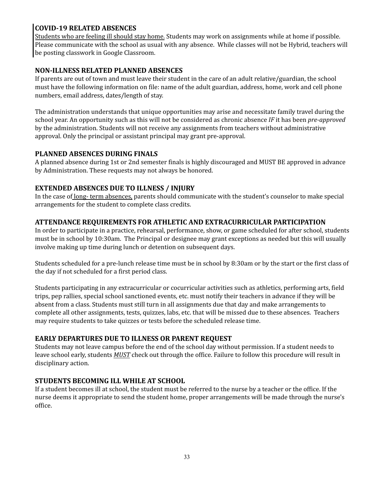### <span id="page-32-0"></span>**COVID-19 RELATED ABSENCES**

Students who are feeling ill should stay home. Students may work on assignments while at home if possible. Please communicate with the school as usual with any absence. While classes will not be Hybrid, teachers will be posting classwork in Google Classroom.

## <span id="page-32-1"></span>**NON-ILLNESS RELATED PLANNED ABSENCES**

If parents are out of town and must leave their student in the care of an adult relative/guardian, the school must have the following information on file: name of the adult guardian, address, home, work and cell phone numbers, email address, dates/length of stay.

The administration understands that unique opportunities may arise and necessitate family travel during the school year. An opportunity such as this will not be considered as chronic absence *IF* it has been *pre-approved* by the administration. Students will not receive any assignments from teachers without administrative approval. Only the principal or assistant principal may grant pre-approval.

### <span id="page-32-2"></span>**PLANNED ABSENCES DURING FINALS**

A planned absence during 1st or 2nd semester finals is highly discouraged and MUST BE approved in advance by Administration. These requests may not always be honored.

### <span id="page-32-3"></span>**EXTENDED ABSENCES DUE TO ILLNESS / INJURY**

In the case of <u>long- term absences</u>, parents should communicate with the student's counselor to make special arrangements for the student to complete class credits.

### <span id="page-32-4"></span>**ATTENDANCE REQUIREMENTS FOR ATHLETIC AND EXTRACURRICULAR PARTICIPATION**

In order to participate in a practice, rehearsal, performance, show, or game scheduled for after school, students must be in school by 10:30am. The Principal or designee may grant exceptions as needed but this will usually involve making up time during lunch or detention on subsequent days.

Students scheduled for a pre-lunch release time must be in school by 8:30am or by the start or the first class of the day if not scheduled for a first period class.

Students participating in any extracurricular or cocurricular activities such as athletics, performing arts, field trips, pep rallies, special school sanctioned events, etc. must notify their teachers in advance if they will be absent from a class. Students must still turn in all assignments due that day and make arrangements to complete all other assignments, tests, quizzes, labs, etc. that will be missed due to these absences. Teachers may require students to take quizzes or tests before the scheduled release time.

### <span id="page-32-5"></span>**EARLY DEPARTURES DUE TO ILLNESS OR PARENT REQUEST**

Students may not leave campus before the end of the school day without permission. If a student needs to leave school early, students *MUST* check out through the office. Failure to follow this procedure will result in disciplinary action.

### <span id="page-32-6"></span>**STUDENTS BECOMING ILL WHILE AT SCHOOL**

If a student becomes ill at school, the student must be referred to the nurse by a teacher or the office. If the nurse deems it appropriate to send the student home, proper arrangements will be made through the nurse's office.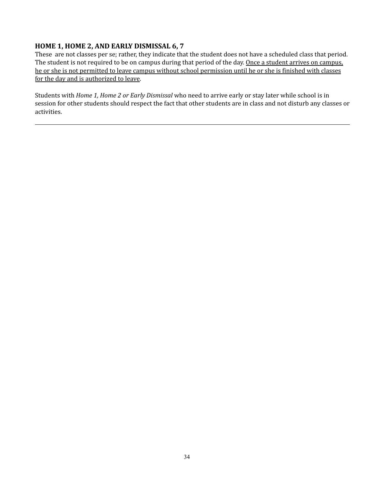### <span id="page-33-0"></span>**HOME 1, HOME 2, AND EARLY DISMISSAL 6, 7**

These are not classes per se; rather, they indicate that the student does not have a scheduled class that period. The student is not required to be on campus during that period of the day. Once a student arrives on campus, he or she is not permitted to leave campus without school permission until he or she is finished with classes for the day and is authorized to leave.

Students with *Home 1, Home 2 or Early Dismissal* who need to arrive early or stay later while school is in session for other students should respect the fact that other students are in class and not disturb any classes or activities.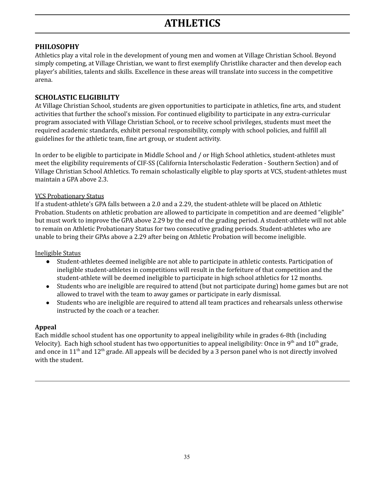# **ATHLETICS**

### <span id="page-34-1"></span><span id="page-34-0"></span>**PHILOSOPHY**

Athletics play a vital role in the development of young men and women at Village Christian School. Beyond simply competing, at Village Christian, we want to first exemplify Christlike character and then develop each player's abilities, talents and skills. Excellence in these areas will translate into success in the competitive arena.

## <span id="page-34-2"></span>**SCHOLASTIC ELIGIBILITY**

At Village Christian School, students are given opportunities to participate in athletics, fine arts, and student activities that further the school's mission. For continued eligibility to participate in any extra-curricular program associated with Village Christian School, or to receive school privileges, students must meet the required academic standards, exhibit personal responsibility, comply with school policies, and fulfill all guidelines for the athletic team, fine art group, or student activity.

In order to be eligible to participate in Middle School and / or High School athletics, student-athletes must meet the eligibility requirements of CIF-SS (California Interscholastic Federation - Southern Section) and of Village Christian School Athletics. To remain scholastically eligible to play sports at VCS, student-athletes must maintain a GPA above 2.3.

### VCS Probationary Status

If a student-athlete's GPA falls between a 2.0 and a 2.29, the student-athlete will be placed on Athletic Probation. Students on athletic probation are allowed to participate in competition and are deemed "eligible" but must work to improve the GPA above 2.29 by the end of the grading period. A student-athlete will not able to remain on Athletic Probationary Status for two consecutive grading periods. Student-athletes who are unable to bring their GPAs above a 2.29 after being on Athletic Probation will become ineligible.

### Ineligible Status

- Student-athletes deemed ineligible are not able to participate in athletic contests. Participation of ineligible student-athletes in competitions will result in the forfeiture of that competition and the student-athlete will be deemed ineligible to participate in high school athletics for 12 months.
- Students who are ineligible are required to attend (but not participate during) home games but are not allowed to travel with the team to away games or participate in early dismissal.
- Students who are ineligible are required to attend all team practices and rehearsals unless otherwise instructed by the coach or a teacher.

### **Appeal**

Each middle school student has one opportunity to appeal ineligibility while in grades 6-8th (including Velocity). Each high school student has two opportunities to appeal ineligibility: Once in 9<sup>th</sup> and 10<sup>th</sup> grade, and once in 11<sup>th</sup> and 12<sup>th</sup> grade. All appeals will be decided by a 3 person panel who is not directly involved with the student.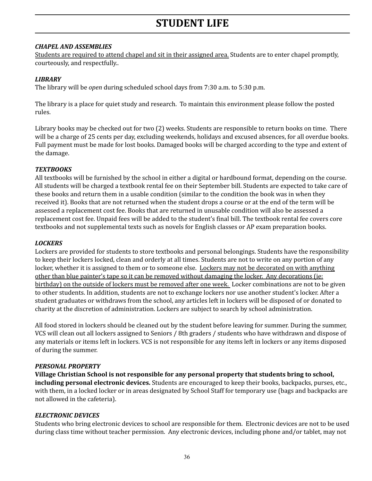# **STUDENT LIFE**

### <span id="page-35-1"></span><span id="page-35-0"></span>*CHAPEL AND ASSEMBLIES*

Students are required to attend chapel and sit in their assigned area. Students are to enter chapel promptly, courteously, and respectfully..

### <span id="page-35-2"></span>*LIBRARY*

The library will be *open* during scheduled school days from 7:30 a.m. to 5:30 p.m.

The library is a place for quiet study and research. To maintain this environment please follow the posted rules.

Library books may be checked out for two (2) weeks. Students are responsible to return books on time. There will be a charge of 25 cents per day, excluding weekends, holidays and excused absences, for all overdue books. Full payment must be made for lost books. Damaged books will be charged according to the type and extent of the damage.

### <span id="page-35-3"></span>*TEXTBOOKS*

All textbooks will be furnished by the school in either a digital or hardbound format, depending on the course. All students will be charged a textbook rental fee on their September bill. Students are expected to take care of these books and return them in a usable condition (similar to the condition the book was in when they received it). Books that are not returned when the student drops a course or at the end of the term will be assessed a replacement cost fee. Books that are returned in unusable condition will also be assessed a replacement cost fee. Unpaid fees will be added to the student's final bill. The textbook rental fee covers core textbooks and not supplemental texts such as novels for English classes or AP exam preparation books.

#### <span id="page-35-4"></span>*LOCKERS*

Lockers are provided for students to store textbooks and personal belongings. Students have the responsibility to keep their lockers locked, clean and orderly at all times. Students are not to write on any portion of any locker, whether it is assigned to them or to someone else. Lockers may not be decorated on with anything other than blue painter's tape so it can be removed without damaging the locker. Any decorations (ie: birthday) on the outside of lockers must be removed after one week. Locker combinations are not to be given to other students. In addition, students are not to exchange lockers nor use another student's locker. After a student graduates or withdraws from the school, any articles left in lockers will be disposed of or donated to charity at the discretion of administration. Lockers are subject to search by school administration.

All food stored in lockers should be cleaned out by the student before leaving for summer. During the summer, VCS will clean out all lockers assigned to Seniors / 8th graders / students who have withdrawn and dispose of any materials or items left in lockers. VCS is not responsible for any items left in lockers or any items disposed of during the summer.

#### <span id="page-35-5"></span>*PERSONAL PROPERTY*

**Village Christian School is not responsible for any personal property that students bring to school, including personal electronic devices.** Students are encouraged to keep their books, backpacks, purses, etc., with them, in a locked locker or in areas designated by School Staff for temporary use (bags and backpacks are not allowed in the cafeteria).

#### <span id="page-35-6"></span>*ELECTRONIC DEVICES*

Students who bring electronic devices to school are responsible for them. Electronic devices are not to be used during class time without teacher permission. Any electronic devices, including phone and/or tablet, may not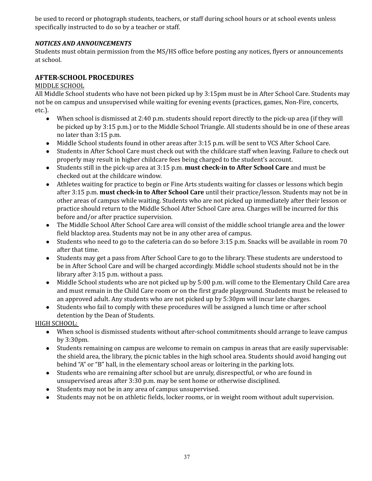be used to record or photograph students, teachers, or staff during school hours or at school events unless specifically instructed to do so by a teacher or staff.

### <span id="page-36-0"></span>*NOTICES AND ANNOUNCEMENTS*

Students must obtain permission from the MS/HS office before posting any notices, flyers or announcements at school.

### <span id="page-36-1"></span>**AFTER-SCHOOL PROCEDURES**

### MIDDLE SCHOOL

All Middle School students who have not been picked up by 3:15pm must be in After School Care. Students may not be on campus and unsupervised while waiting for evening events (practices, games, Non-Fire, concerts, etc.).

- When school is dismissed at 2:40 p.m. students should report directly to the pick-up area (if they will be picked up by 3:15 p.m.) or to the Middle School Triangle. All students should be in one of these areas no later than 3:15 p.m.
- Middle School students found in other areas after 3:15 p.m. will be sent to VCS After School Care.
- Students in After School Care must check out with the childcare staff when leaving. Failure to check out properly may result in higher childcare fees being charged to the student's account.
- Students still in the pick-up area at 3:15 p.m. **must check-in to After School Care** and must be checked out at the childcare window.
- Athletes waiting for practice to begin or Fine Arts students waiting for classes or lessons which begin after 3:15 p.m. **must check-in to After School Care** until their practice/lesson. Students may not be in other areas of campus while waiting. Students who are not picked up immediately after their lesson or practice should return to the Middle School After School Care area. Charges will be incurred for this before and/or after practice supervision.
- The Middle School After School Care area will consist of the middle school triangle area and the lower field blacktop area. Students may not be in any other area of campus.
- Students who need to go to the cafeteria can do so before 3:15 p.m. Snacks will be available in room 70 after that time.
- Students may get a pass from After School Care to go to the library. These students are understood to be in After School Care and will be charged accordingly. Middle school students should not be in the library after 3:15 p.m. without a pass.
- Middle School students who are not picked up by 5:00 p.m. will come to the Elementary Child Care area and must remain in the Child Care room or on the first grade playground. Students must be released to an approved adult. Any students who are not picked up by 5:30pm will incur late charges.
- Students who fail to comply with these procedures will be assigned a lunch time or after school detention by the Dean of Students.

HIGH SCHOOL:

- When school is dismissed students without after-school commitments should arrange to leave campus by 3:30pm.
- Students remaining on campus are welcome to remain on campus in areas that are easily supervisable: the shield area, the library, the picnic tables in the high school area. Students should avoid hanging out behind "A" or "B" hall, in the elementary school areas or loitering in the parking lots.
- Students who are remaining after school but are unruly, disrespectful, or who are found in unsupervised areas after 3:30 p.m. may be sent home or otherwise disciplined.
- Students may not be in any area of campus unsupervised.
- Students may not be on athletic fields, locker rooms, or in weight room without adult supervision.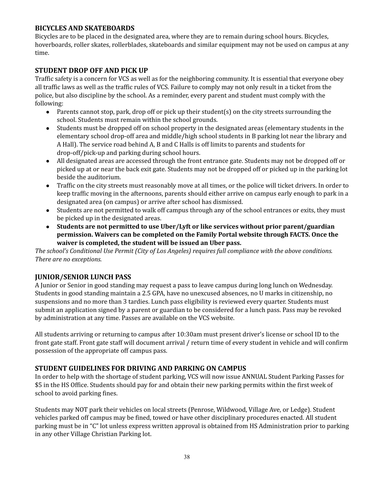### <span id="page-37-0"></span>**BICYCLES AND SKATEBOARDS**

Bicycles are to be placed in the designated area, where they are to remain during school hours. Bicycles, hoverboards, roller skates, rollerblades, skateboards and similar equipment may not be used on campus at any time.

### <span id="page-37-1"></span>**STUDENT DROP OFF AND PICK UP**

Traffic safety is a concern for VCS as well as for the neighboring community. It is essential that everyone obey all traffic laws as well as the traffic rules of VCS. Failure to comply may not only result in a ticket from the police, but also discipline by the school. As a reminder, every parent and student must comply with the following:

- Parents cannot stop, park, drop off or pick up their student(s) on the city streets surrounding the school. Students must remain within the school grounds.
- Students must be dropped off on school property in the designated areas (elementary students in the elementary school drop-off area and middle/high school students in B parking lot near the library and A Hall). The service road behind A, B and C Halls is off limits to parents and students for drop-off/pick-up and parking during school hours.
- All designated areas are accessed through the front entrance gate. Students may not be dropped off or picked up at or near the back exit gate. Students may not be dropped off or picked up in the parking lot beside the auditorium.
- Traffic on the city streets must reasonably move at all times, or the police will ticket drivers. In order to keep traffic moving in the afternoons, parents should either arrive on campus early enough to park in a designated area (on campus) or arrive after school has dismissed.
- Students are not permitted to walk off campus through any of the school entrances or exits, they must be picked up in the designated areas.
- **● Students are not permitted to use Uber/Lyft or like services without prior parent/guardian permission. Waivers can be completed on the Family Portal website through FACTS. Once the waiver is completed, the student will be issued an Uber pass.**

*The school's Conditional Use Permit (City of Los Angeles) requires full compliance with the above conditions. There are no exceptions.*

## <span id="page-37-2"></span>**JUNIOR/SENIOR LUNCH PASS**

A Junior or Senior in good standing may request a pass to leave campus during long lunch on Wednesday. Students in good standing maintain a 2.5 GPA, have no unexcused absences, no U marks in citizenship, no suspensions and no more than 3 tardies. Lunch pass eligibility is reviewed every quarter. Students must submit an application signed by a parent or guardian to be considered for a lunch pass. Pass may be revoked by administration at any time. Passes are available on the VCS website.

All students arriving or returning to campus after 10:30am must present driver's license or school ID to the front gate staff. Front gate staff will document arrival / return time of every student in vehicle and will confirm possession of the appropriate off campus pass.

### <span id="page-37-3"></span>**STUDENT GUIDELINES FOR DRIVING AND PARKING ON CAMPUS**

In order to help with the shortage of student parking, VCS will now issue ANNUAL Student Parking Passes for \$5 in the HS Office. Students should pay for and obtain their new parking permits within the first week of school to avoid parking fines.

Students may NOT park their vehicles on local streets (Penrose, Wildwood, Village Ave, or Ledge). Student vehicles parked off campus may be fined, towed or have other disciplinary procedures enacted. All student parking must be in "C" lot unless express written approval is obtained from HS Administration prior to parking in any other Village Christian Parking lot.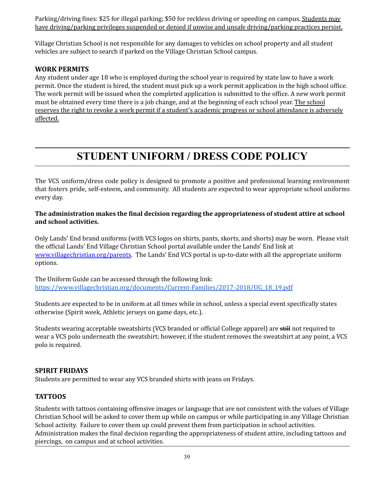Parking/driving fines: \$25 for illegal parking; \$50 for reckless driving or speeding on campus. Students may have driving/parking privileges suspended or denied if unwise and unsafe driving/parking practices persist.

Village Christian School is not responsible for any damages to vehicles on school property and all student vehicles are subject to search if parked on the Village Christian School campus.

## <span id="page-38-0"></span>**WORK PERMITS**

Any student under age 18 who is employed during the school year is required by state law to have a work permit. Once the student is hired, the student must pick up a work permit application in the high school office. The work permit will be issued when the completed application is submitted to the office. A new work permit must be obtained every time there is a job change, and at the beginning of each school year. The school reserves the right to revoke a work permit if a student's academic progress or school attendance is adversely affected.

# **STUDENT UNIFORM / DRESS CODE POLICY**

<span id="page-38-1"></span>The VCS uniform/dress code policy is designed to promote a positive and professional learning environment that fosters pride, self-esteem, and community. All students are expected to wear appropriate school uniforms every day.

### **The administration makes the final decision regarding the appropriateness of student attire at school and school activities.**

Only Lands' End brand uniforms (with VCS logos on shirts, pants, skorts, and shorts) may be worn. Please visit the official Lands' End Village Christian School portal available under the Lands' End link at [www.villagechristian.org/parents](http://www.villagechristian.org/parents). The Lands' End VCS portal is up-to-date with all the appropriate uniform options.

The Uniform Guide can be accessed through the following link: [https://www.villagechristian.org/documents/Current-Families/2017-2018/UG\\_18\\_19.pdf](https://www.villagechristian.org/documents/Current-Families/2017-2018/UG_18_19.pdf)

Students are expected to be in uniform at all times while in school, unless a special event specifically states otherwise (Spirit week, Athletic jerseys on game days, etc.).

Students wearing acceptable sweatshirts (VCS branded or official College apparel) are still not required to wear a VCS polo underneath the sweatshirt; however, if the student removes the sweatshirt at any point, a VCS polo is required.

### <span id="page-38-2"></span>**SPIRIT FRIDAYS**

<span id="page-38-3"></span>Students are permitted to wear any VCS branded shirts with jeans on Fridays.

### **TATTOOS**

Students with tattoos containing offensive images or language that are not consistent with the values of Village Christian School will be asked to cover them up while on campus or while participating in any Village Christian School activity. Failure to cover them up could prevent them from participation in school activities. Administration makes the final decision regarding the appropriateness of student attire, including tattoos and piercings, on campus and at school activities.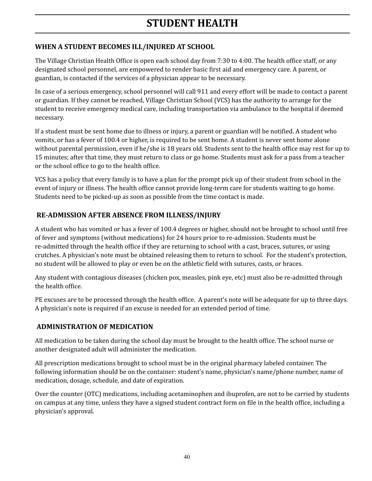# **STUDENT HEALTH**

# <span id="page-39-1"></span><span id="page-39-0"></span>**WHEN A STUDENT BECOMES ILL/INJURED AT SCHOOL**

The Village Christian Health Office is open each school day from 7:30 to 4:00. The health office staff, or any designated school personnel, are empowered to render basic first aid and emergency care. A parent, or guardian, is contacted if the services of a physician appear to be necessary.

In case of a serious emergency, school personnel will call 911 and every effort will be made to contact a parent or guardian. If they cannot be reached, Village Christian School (VCS) has the authority to arrange for the student to receive emergency medical care, including transportation via ambulance to the hospital if deemed necessary.

If a student must be sent home due to illness or injury, a parent or guardian will be notified. A student who vomits, or has a fever of 100.4 or higher, is required to be sent home. A student is never sent home alone without parental permission, even if he/she is 18 years old. Students sent to the health office may rest for up to 15 minutes; after that time, they must return to class or go home. Students must ask for a pass from a teacher or the school office to go to the health office.

VCS has a policy that every family is to have a plan for the prompt pick up of their student from school in the event of injury or illness. The health office cannot provide long-term care for students waiting to go home. Students need to be picked-up as soon as possible from the time contact is made.

# <span id="page-39-2"></span>**RE-ADMISSION AFTER ABSENCE FROM ILLNESS/INJURY**

A student who has vomited or has a fever of 100.4 degrees or higher, should not be brought to school until free of fever and symptoms (without medications) for 24 hours prior to re-admission. Students must be re-admitted through the health office if they are returning to school with a cast, braces, sutures, or using crutches. A physician's note must be obtained releasing them to return to school. For the student's protection, no student will be allowed to play or even be on the athletic field with sutures, casts, or braces.

Any student with contagious diseases (chicken pox, measles, pink eye, etc) must also be re-admitted through the health office.

PE excuses are to be processed through the health office. A parent's note will be adequate for up to three days. A physician's note is required if an excuse is needed for an extended period of time.

## <span id="page-39-3"></span>**ADMINISTRATION OF MEDICATION**

All medication to be taken during the school day must be brought to the health office. The school nurse or another designated adult will administer the medication.

All prescription medications brought to school must be in the original pharmacy labeled container. The following information should be on the container: student's name, physician's name/phone number, name of medication, dosage, schedule, and date of expiration.

Over the counter (OTC) medications, including acetaminophen and ibuprofen, are not to be carried by students on campus at any time, unless they have a signed student contract form on file in the health office, including a physician's approval.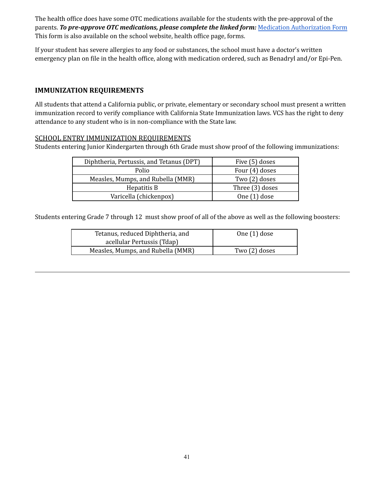The health office does have some OTC medications available for the students with the pre-approval of the parents. *To pre-approve OTC medications, please complete the linked form:* Medication [Authorization](http://forms.villagechristian.org/view.php?id=37761) Form This form is also available on the school website, health office page, forms.

If your student has severe allergies to any food or substances, the school must have a doctor's written emergency plan on file in the health office, along with medication ordered, such as Benadryl and/or Epi-Pen.

### <span id="page-40-0"></span>**IMMUNIZATION REQUIREMENTS**

All students that attend a California public, or private, elementary or secondary school must present a written immunization record to verify compliance with California State Immunization laws. VCS has the right to deny attendance to any student who is in non-compliance with the State law.

### <span id="page-40-1"></span>SCHOOL ENTRY IMMUNIZATION REQUIREMENTS

Students entering Junior Kindergarten through 6th Grade must show proof of the following immunizations:

| Diphtheria, Pertussis, and Tetanus (DPT) | Five (5) doses  |
|------------------------------------------|-----------------|
| Polio                                    | Four (4) doses  |
| Measles, Mumps, and Rubella (MMR)        | Two (2) doses   |
| Hepatitis B                              | Three (3) doses |
| Varicella (chickenpox)                   | One (1) dose    |

Students entering Grade 7 through 12 must show proof of all of the above as well as the following boosters:

| Tetanus, reduced Diphtheria, and<br>acellular Pertussis (Tdap) | One $(1)$ dose |
|----------------------------------------------------------------|----------------|
| Measles, Mumps, and Rubella (MMR)                              | Two (2) doses  |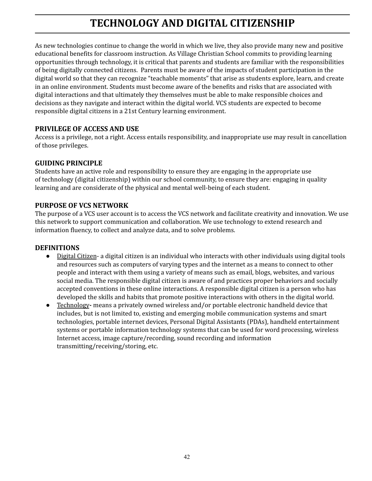# **TECHNOLOGY AND DIGITAL CITIZENSHIP**

<span id="page-41-0"></span>As new technologies continue to change the world in which we live, they also provide many new and positive educational benefits for classroom instruction. As Village Christian School commits to providing learning opportunities through technology, it is critical that parents and students are familiar with the responsibilities of being digitally connected citizens. Parents must be aware of the impacts of student participation in the digital world so that they can recognize "teachable moments" that arise as students explore, learn, and create in an online environment. Students must become aware of the benefits and risks that are associated with digital interactions and that ultimately they themselves must be able to make responsible choices and decisions as they navigate and interact within the digital world. VCS students are expected to become responsible digital citizens in a 21st Century learning environment.

### <span id="page-41-1"></span>**PRIVILEGE OF ACCESS AND USE**

Access is a privilege, not a right. Access entails responsibility, and inappropriate use may result in cancellation of those privileges.

### <span id="page-41-2"></span>**GUIDING PRINCIPLE**

Students have an active role and responsibility to ensure they are engaging in the appropriate use of technology (digital citizenship) within our school community, to ensure they are: engaging in quality learning and are considerate of the physical and mental well-being of each student.

### <span id="page-41-3"></span>**PURPOSE OF VCS NETWORK**

The purpose of a VCS user account is to access the VCS network and facilitate creativity and innovation. We use this network to support communication and collaboration. We use technology to extend research and information fluency, to collect and analyze data, and to solve problems.

### <span id="page-41-4"></span>**DEFINITIONS**

- Digital Citizen- a digital citizen is an individual who interacts with other individuals using digital tools and resources such as computers of varying types and the internet as a means to connect to other people and interact with them using a variety of means such as email, blogs, websites, and various social media. The responsible digital citizen is aware of and practices proper behaviors and socially accepted conventions in these online interactions. A responsible digital citizen is a person who has developed the skills and habits that promote positive interactions with others in the digital world.
- Technology**-** means a privately owned wireless and/or portable electronic handheld device that includes, but is not limited to, existing and emerging mobile communication systems and smart technologies, portable internet devices, Personal Digital Assistants (PDAs), handheld entertainment systems or portable information technology systems that can be used for word processing, wireless Internet access, image capture/recording, sound recording and information transmitting/receiving/storing, etc.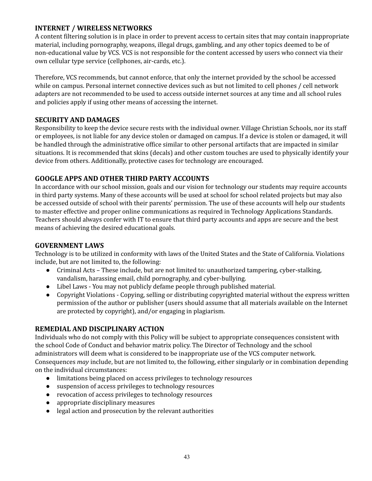### <span id="page-42-0"></span>**INTERNET / WIRELESS NETWORKS**

A content filtering solution is in place in order to prevent access to certain sites that may contain inappropriate material, including pornography, weapons, illegal drugs, gambling, and any other topics deemed to be of non-educational value by VCS. VCS is not responsible for the content accessed by users who connect via their own cellular type service (cellphones, air-cards, etc.).

Therefore, VCS recommends, but cannot enforce, that only the internet provided by the school be accessed while on campus. Personal internet connective devices such as but not limited to cell phones / cell network adapters are not recommended to be used to access outside internet sources at any time and all school rules and policies apply if using other means of accessing the internet.

### <span id="page-42-1"></span>**SECURITY AND DAMAGES**

Responsibility to keep the device secure rests with the individual owner. Village Christian Schools, nor its staff or employees, is not liable for any device stolen or damaged on campus. If a device is stolen or damaged, it will be handled through the administrative office similar to other personal artifacts that are impacted in similar situations. It is recommended that skins (decals) and other custom touches are used to physically identify your device from others. Additionally, protective cases for technology are encouraged.

### <span id="page-42-2"></span>**GOOGLE APPS AND OTHER THIRD PARTY ACCOUNTS**

In accordance with our school mission, goals and our vision for technology our students may require accounts in third party systems. Many of these accounts will be used at school for school related projects but may also be accessed outside of school with their parents' permission. The use of these accounts will help our students to master effective and proper online communications as required in Technology Applications Standards. Teachers should always confer with IT to ensure that third party accounts and apps are secure and the best means of achieving the desired educational goals.

### <span id="page-42-3"></span>**GOVERNMENT LAWS**

Technology is to be utilized in conformity with laws of the United States and the State of California. Violations include, but are not limited to, the following:

- Criminal Acts These include, but are not limited to: unauthorized tampering, cyber-stalking, vandalism, harassing email, child pornography, and cyber-bullying.
- Libel Laws You may not publicly defame people through published material.
- Copyright Violations Copying, selling or distributing copyrighted material without the express written permission of the author or publisher (users should assume that all materials available on the Internet are protected by copyright), and/or engaging in plagiarism.

## <span id="page-42-4"></span>**REMEDIAL AND DISCIPLINARY ACTION**

Individuals who do not comply with this Policy will be subject to appropriate consequences consistent with the school Code of Conduct and behavior matrix policy. The Director of Technology and the school administrators will deem what is considered to be inappropriate use of the VCS computer network. Consequences *may* include, but are not limited to, the following, either singularly or in combination depending on the individual circumstances:

- limitations being placed on access privileges to technology resources
- suspension of access privileges to technology resources
- revocation of access privileges to technology resources
- appropriate disciplinary measures
- legal action and prosecution by the relevant authorities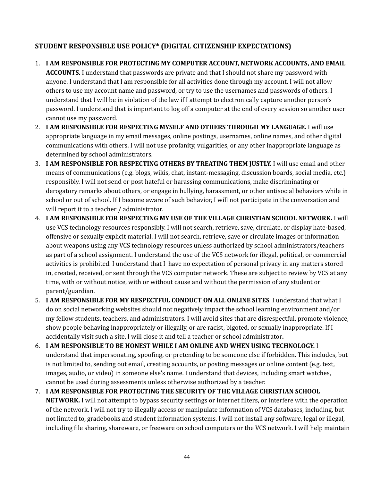## <span id="page-43-0"></span>**STUDENT RESPONSIBLE USE POLICY\* (DIGITAL CITIZENSHIP EXPECTATIONS)**

### 1. **I AM RESPONSIBLE FOR PROTECTING MY COMPUTER ACCOUNT, NETWORK ACCOUNTS, AND EMAIL**

**ACCOUNTS.** I understand that passwords are private and that I should not share my password with anyone. I understand that I am responsible for all activities done through my account. I will not allow others to use my account name and password, or try to use the usernames and passwords of others. I understand that I will be in violation of the law if I attempt to electronically capture another person's password. I understand that is important to log off a computer at the end of every session so another user cannot use my password.

- 2. **I AM RESPONSIBLE FOR RESPECTING MYSELF AND OTHERS THROUGH MY LANGUAGE.** I will use appropriate language in my email messages, online postings, usernames, online names, and other digital communications with others. I will not use profanity, vulgarities, or any other inappropriate language as determined by school administrators.
- 3. **I AM RESPONSIBLE FOR RESPECTING OTHERS BY TREATING THEM JUSTLY.** I will use email and other means of communications (e.g. blogs, wikis, chat, instant-messaging, discussion boards, social media, etc.) responsibly. I will not send or post hateful or harassing communications, make discriminating or derogatory remarks about others, or engage in bullying, harassment, or other antisocial behaviors while in school or out of school. If I become aware of such behavior, I will not participate in the conversation and will report it to a teacher / administrator.
- 4. **I AM RESPONSIBLE FOR RESPECTING MY USE OF THE VILLAGE CHRISTIAN SCHOOL NETWORK.** I will use VCS technology resources responsibly. I will not search, retrieve, save, circulate, or display hate-based, offensive or sexually explicit material. I will not search, retrieve, save or circulate images or information about weapons using any VCS technology resources unless authorized by school administrators/teachers as part of a school assignment. I understand the use of the VCS network for illegal, political, or commercial activities is prohibited. I understand that I have no expectation of personal privacy in any matters stored in, created, received, or sent through the VCS computer network. These are subject to review by VCS at any time, with or without notice, with or without cause and without the permission of any student or parent/guardian.
- 5. **I AM RESPONSIBLE FOR MY RESPECTFUL CONDUCT ON ALL ONLINE SITES**. I understand that what I do on social networking websites should not negatively impact the school learning environment and/or my fellow students, teachers, and administrators. I will avoid sites that are disrespectful, promote violence, show people behaving inappropriately or illegally, or are racist, bigoted, or sexually inappropriate. If I accidentally visit such a site, I will close it and tell a teacher or school administrator**.**
- 6. **I AM RESPONSIBLE TO BE HONEST WHILE I AM ONLINE AND WHEN USING TECHNOLOGY.** I understand that impersonating, spoofing, or pretending to be someone else if forbidden. This includes, but is not limited to, sending out email, creating accounts, or posting messages or online content (e.g. text, images, audio, or video) in someone else's name. I understand that devices, including smart watches, cannot be used during assessments unless otherwise authorized by a teacher.
- 7. **I AM RESPONSIBLE FOR PROTECTING THE SECURITY OF THE VILLAGE CHRISTIAN SCHOOL NETWORK.** I will not attempt to bypass security settings or internet filters, or interfere with the operation of the network. I will not try to illegally access or manipulate information of VCS databases, including, but not limited to, gradebooks and student information systems. I will not install any software, legal or illegal, including file sharing, shareware, or freeware on school computers or the VCS network. I will help maintain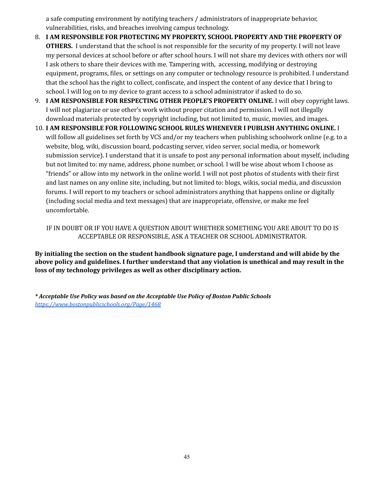a safe computing environment by notifying teachers / administrators of inappropriate behavior, vulnerabilities, risks, and breaches involving campus technology.

- 8. **I AM RESPONSIBLE FOR PROTECTING MY PROPERTY, SCHOOL PROPERTY AND THE PROPERTY OF OTHERS.** I understand that the school is not responsible for the security of my property. I will not leave my personal devices at school before or after school hours. I will not share my devices with others nor will I ask others to share their devices with me. Tampering with, accessing, modifying or destroying equipment, programs, files, or settings on any computer or technology resource is prohibited. I understand that the school has the right to collect, confiscate, and inspect the content of any device that I bring to school. I will log on to my device to grant access to a school administrator if asked to do so.
- 9. **I AM RESPONSIBLE FOR RESPECTING OTHER PEOPLE'S PROPERTY ONLINE.** I will obey copyright laws. I will not plagiarize or use other's work without proper citation and permission. I will not illegally download materials protected by copyright including, but not limited to, music, movies, and images.
- 10. **I AM RESPONSIBLE FOR FOLLOWING SCHOOL RULES WHENEVER I PUBLISH ANYTHING ONLINE.** I will follow all guidelines set forth by VCS and/or my teachers when publishing schoolwork online (e.g. to a website, blog, wiki, discussion board, podcasting server, video server, social media, or homework submission service). I understand that it is unsafe to post any personal information about myself, including but not limited to: my name, address, phone number, or school. I will be wise about whom I choose as "friends" or allow into my network in the online world. I will not post photos of students with their first and last names on any online site, including, but not limited to: blogs, wikis, social media, and discussion forums. I will report to my teachers or school administrators anything that happens online or digitally (including social media and text messages) that are inappropriate, offensive, or make me feel uncomfortable.

IF IN DOUBT OR IF YOU HAVE A QUESTION ABOUT WHETHER SOMETHING YOU ARE ABOUT TO DO IS ACCEPTABLE OR RESPONSIBLE, ASK A TEACHER OR SCHOOL ADMINISTRATOR.

**By initialing the section on the student handbook signature page, I understand and will abide by the above policy and guidelines. I further understand that any violation is unethical and may result in the loss of my technology privileges as well as other disciplinary action.**

*\* Acceptable Use Policy was based on the Acceptable Use Policy of Boston Public Schools <https://www.bostonpublicschools.org/Page/1468>*